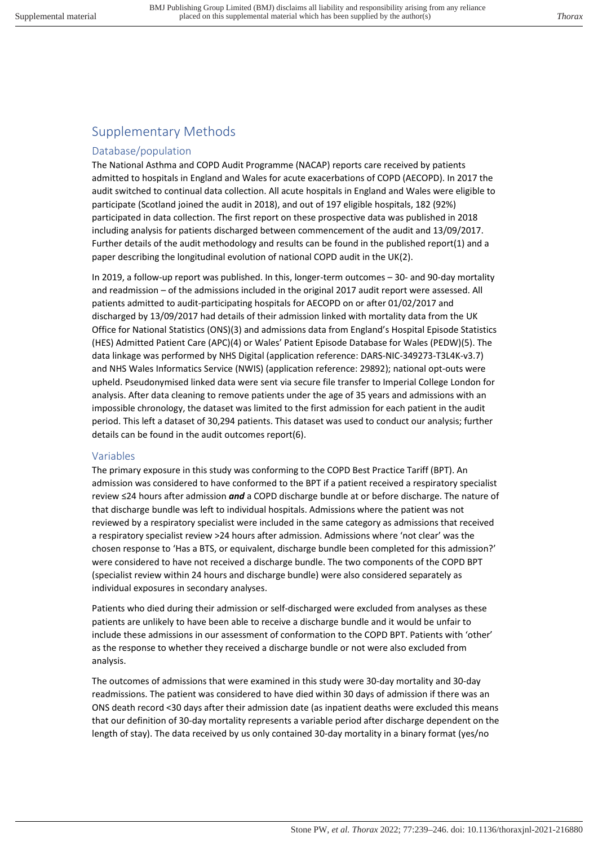## Supplementary Methods

### Database/population

The National Asthma and COPD Audit Programme (NACAP) reports care received by patients admitted to hospitals in England and Wales for acute exacerbations of COPD (AECOPD). In 2017 the audit switched to continual data collection. All acute hospitals in England and Wales were eligible to participate (Scotland joined the audit in 2018), and out of 197 eligible hospitals, 182 (92%) participated in data collection. The first report on these prospective data was published in 2018 including analysis for patients discharged between commencement of the audit and 13/09/2017. Further details of the audit methodology and results can be found in the published report(1) and a paper describing the longitudinal evolution of national COPD audit in the UK(2).

In 2019, a follow-up report was published. In this, longer-term outcomes – 30- and 90-day mortality and readmission – of the admissions included in the original 2017 audit report were assessed. All patients admitted to audit-participating hospitals for AECOPD on or after 01/02/2017 and discharged by 13/09/2017 had details of their admission linked with mortality data from the UK Office for National Statistics (ONS)(3) and admissions data from England's Hospital Episode Statistics (HES) Admitted Patient Care (APC)(4) or Wales' Patient Episode Database for Wales (PEDW)(5). The data linkage was performed by NHS Digital (application reference: DARS-NIC-349273-T3L4K-v3.7) and NHS Wales Informatics Service (NWIS) (application reference: 29892); national opt-outs were upheld. Pseudonymised linked data were sent via secure file transfer to Imperial College London for analysis. After data cleaning to remove patients under the age of 35 years and admissions with an impossible chronology, the dataset was limited to the first admission for each patient in the audit period. This left a dataset of 30,294 patients. This dataset was used to conduct our analysis; further details can be found in the audit outcomes report(6).

### Variables

The primary exposure in this study was conforming to the COPD Best Practice Tariff (BPT). An admission was considered to have conformed to the BPT if a patient received a respiratory specialist review ≤24 hours after admission *and* a COPD discharge bundle at or before discharge. The nature of that discharge bundle was left to individual hospitals. Admissions where the patient was not reviewed by a respiratory specialist were included in the same category as admissions that received a respiratory specialist review >24 hours after admission. Admissions where 'not clear' was the chosen response to 'Has a BTS, or equivalent, discharge bundle been completed for this admission?' were considered to have not received a discharge bundle. The two components of the COPD BPT (specialist review within 24 hours and discharge bundle) were also considered separately as individual exposures in secondary analyses.

Patients who died during their admission or self-discharged were excluded from analyses as these patients are unlikely to have been able to receive a discharge bundle and it would be unfair to include these admissions in our assessment of conformation to the COPD BPT. Patients with 'other' as the response to whether they received a discharge bundle or not were also excluded from analysis.

The outcomes of admissions that were examined in this study were 30-day mortality and 30-day readmissions. The patient was considered to have died within 30 days of admission if there was an ONS death record <30 days after their admission date (as inpatient deaths were excluded this means that our definition of 30-day mortality represents a variable period after discharge dependent on the length of stay). The data received by us only contained 30-day mortality in a binary format (yes/no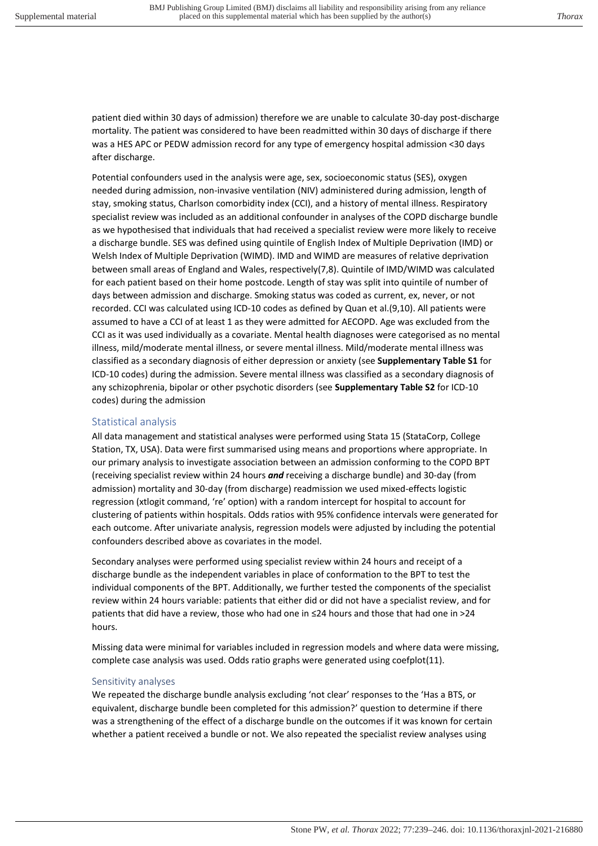patient died within 30 days of admission) therefore we are unable to calculate 30-day post-discharge mortality. The patient was considered to have been readmitted within 30 days of discharge if there was a HES APC or PEDW admission record for any type of emergency hospital admission <30 days after discharge.

Potential confounders used in the analysis were age, sex, socioeconomic status (SES), oxygen needed during admission, non-invasive ventilation (NIV) administered during admission, length of stay, smoking status, Charlson comorbidity index (CCI), and a history of mental illness. Respiratory specialist review was included as an additional confounder in analyses of the COPD discharge bundle as we hypothesised that individuals that had received a specialist review were more likely to receive a discharge bundle. SES was defined using quintile of English Index of Multiple Deprivation (IMD) or Welsh Index of Multiple Deprivation (WIMD). IMD and WIMD are measures of relative deprivation between small areas of England and Wales, respectively(7,8). Quintile of IMD/WIMD was calculated for each patient based on their home postcode. Length of stay was split into quintile of number of days between admission and discharge. Smoking status was coded as current, ex, never, or not recorded. CCI was calculated using ICD-10 codes as defined by Quan et al.(9,10). All patients were assumed to have a CCI of at least 1 as they were admitted for AECOPD. Age was excluded from the CCI as it was used individually as a covariate. Mental health diagnoses were categorised as no mental illness, mild/moderate mental illness, or severe mental illness. Mild/moderate mental illness was classified as a secondary diagnosis of either depression or anxiety (see **Supplementary Table S1** for ICD-10 codes) during the admission. Severe mental illness was classified as a secondary diagnosis of any schizophrenia, bipolar or other psychotic disorders (see **Supplementary Table S2** for ICD-10 codes) during the admission

### Statistical analysis

All data management and statistical analyses were performed using Stata 15 (StataCorp, College Station, TX, USA). Data were first summarised using means and proportions where appropriate. In our primary analysis to investigate association between an admission conforming to the COPD BPT (receiving specialist review within 24 hours *and* receiving a discharge bundle) and 30-day (from admission) mortality and 30-day (from discharge) readmission we used mixed-effects logistic regression (xtlogit command, 're' option) with a random intercept for hospital to account for clustering of patients within hospitals. Odds ratios with 95% confidence intervals were generated for each outcome. After univariate analysis, regression models were adjusted by including the potential confounders described above as covariates in the model.

Secondary analyses were performed using specialist review within 24 hours and receipt of a discharge bundle as the independent variables in place of conformation to the BPT to test the individual components of the BPT. Additionally, we further tested the components of the specialist review within 24 hours variable: patients that either did or did not have a specialist review, and for patients that did have a review, those who had one in ≤24 hours and those that had one in >24 hours.

Missing data were minimal for variables included in regression models and where data were missing, complete case analysis was used. Odds ratio graphs were generated using coefplot(11).

#### Sensitivity analyses

We repeated the discharge bundle analysis excluding 'not clear' responses to the 'Has a BTS, or equivalent, discharge bundle been completed for this admission?' question to determine if there was a strengthening of the effect of a discharge bundle on the outcomes if it was known for certain whether a patient received a bundle or not. We also repeated the specialist review analyses using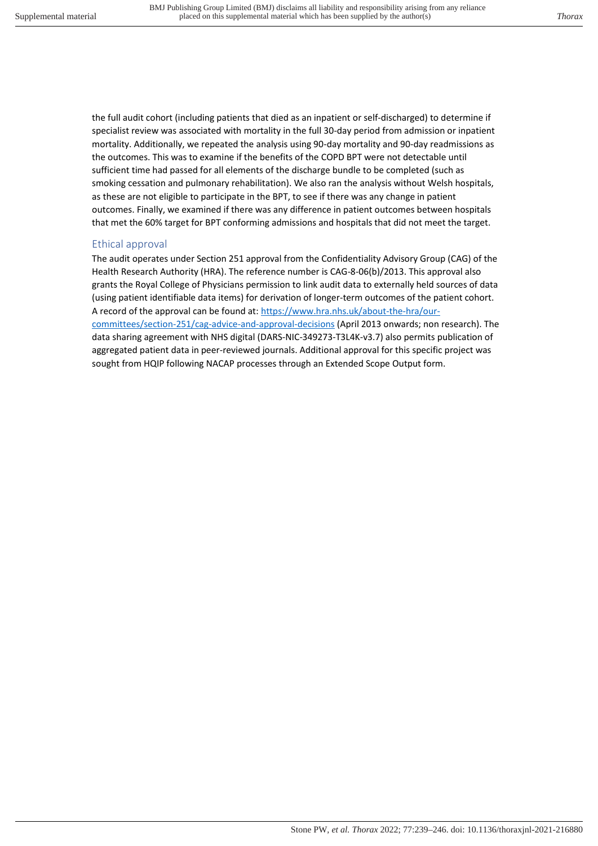the full audit cohort (including patients that died as an inpatient or self-discharged) to determine if specialist review was associated with mortality in the full 30-day period from admission or inpatient mortality. Additionally, we repeated the analysis using 90-day mortality and 90-day readmissions as the outcomes. This was to examine if the benefits of the COPD BPT were not detectable until sufficient time had passed for all elements of the discharge bundle to be completed (such as smoking cessation and pulmonary rehabilitation). We also ran the analysis without Welsh hospitals, as these are not eligible to participate in the BPT, to see if there was any change in patient outcomes. Finally, we examined if there was any difference in patient outcomes between hospitals that met the 60% target for BPT conforming admissions and hospitals that did not meet the target.

### Ethical approval

The audit operates under Section 251 approval from the Confidentiality Advisory Group (CAG) of the Health Research Authority (HRA). The reference number is CAG-8-06(b)/2013. This approval also grants the Royal College of Physicians permission to link audit data to externally held sources of data (using patient identifiable data items) for derivation of longer-term outcomes of the patient cohort. A record of the approval can be found at: [https://www.hra.nhs.uk/about-the-hra/our](https://www.hra.nhs.uk/about-the-hra/our-committees/section-251/cag-advice-and-approval-decisions)[committees/section-251/cag-advice-and-approval-decisions](https://www.hra.nhs.uk/about-the-hra/our-committees/section-251/cag-advice-and-approval-decisions) (April 2013 onwards; non research). The data sharing agreement with NHS digital (DARS-NIC-349273-T3L4K-v3.7) also permits publication of aggregated patient data in peer-reviewed journals. Additional approval for this specific project was sought from HQIP following NACAP processes through an Extended Scope Output form.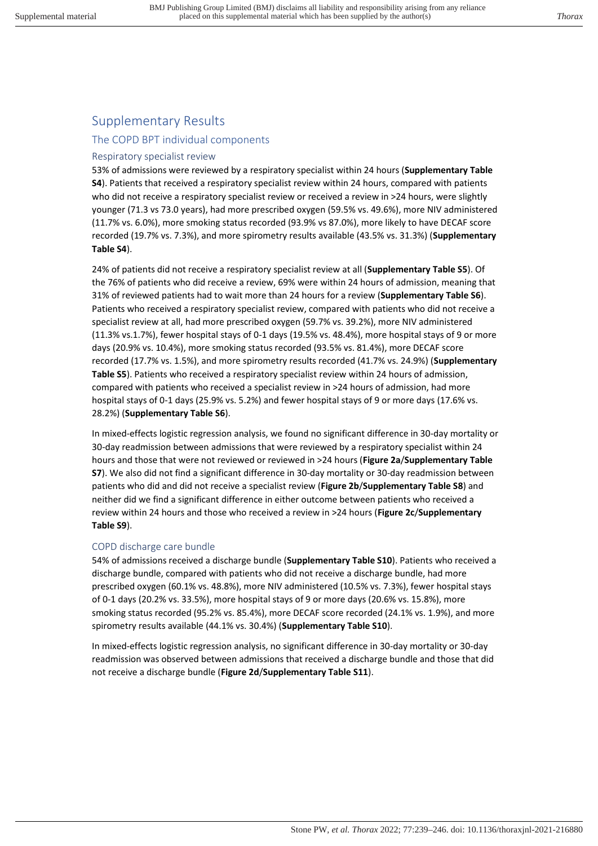## Supplementary Results

### The COPD BPT individual components

### Respiratory specialist review

53% of admissions were reviewed by a respiratory specialist within 24 hours (**Supplementary Table S4**). Patients that received a respiratory specialist review within 24 hours, compared with patients who did not receive a respiratory specialist review or received a review in >24 hours, were slightly younger (71.3 vs 73.0 years), had more prescribed oxygen (59.5% vs. 49.6%), more NIV administered (11.7% vs. 6.0%), more smoking status recorded (93.9% vs 87.0%), more likely to have DECAF score recorded (19.7% vs. 7.3%), and more spirometry results available (43.5% vs. 31.3%) (**Supplementary Table S4**).

24% of patients did not receive a respiratory specialist review at all (**Supplementary Table S5**). Of the 76% of patients who did receive a review, 69% were within 24 hours of admission, meaning that 31% of reviewed patients had to wait more than 24 hours for a review (**Supplementary Table S6**). Patients who received a respiratory specialist review, compared with patients who did not receive a specialist review at all, had more prescribed oxygen (59.7% vs. 39.2%), more NIV administered (11.3% vs.1.7%), fewer hospital stays of 0-1 days (19.5% vs. 48.4%), more hospital stays of 9 or more days (20.9% vs. 10.4%), more smoking status recorded (93.5% vs. 81.4%), more DECAF score recorded (17.7% vs. 1.5%), and more spirometry results recorded (41.7% vs. 24.9%) (**Supplementary Table S5**). Patients who received a respiratory specialist review within 24 hours of admission, compared with patients who received a specialist review in >24 hours of admission, had more hospital stays of 0-1 days (25.9% vs. 5.2%) and fewer hospital stays of 9 or more days (17.6% vs. 28.2%) (**Supplementary Table S6**).

In mixed-effects logistic regression analysis, we found no significant difference in 30-day mortality or 30-day readmission between admissions that were reviewed by a respiratory specialist within 24 hours and those that were not reviewed or reviewed in >24 hours (**Figure 2a**/**Supplementary Table S7**). We also did not find a significant difference in 30-day mortality or 30-day readmission between patients who did and did not receive a specialist review (**Figure 2b**/**Supplementary Table S8**) and neither did we find a significant difference in either outcome between patients who received a review within 24 hours and those who received a review in >24 hours (**Figure 2c**/**Supplementary Table S9**).

### COPD discharge care bundle

54% of admissions received a discharge bundle (**Supplementary Table S10**). Patients who received a discharge bundle, compared with patients who did not receive a discharge bundle, had more prescribed oxygen (60.1% vs. 48.8%), more NIV administered (10.5% vs. 7.3%), fewer hospital stays of 0-1 days (20.2% vs. 33.5%), more hospital stays of 9 or more days (20.6% vs. 15.8%), more smoking status recorded (95.2% vs. 85.4%), more DECAF score recorded (24.1% vs. 1.9%), and more spirometry results available (44.1% vs. 30.4%) (**Supplementary Table S10**).

In mixed-effects logistic regression analysis, no significant difference in 30-day mortality or 30-day readmission was observed between admissions that received a discharge bundle and those that did not receive a discharge bundle (**Figure 2d**/**Supplementary Table S11**).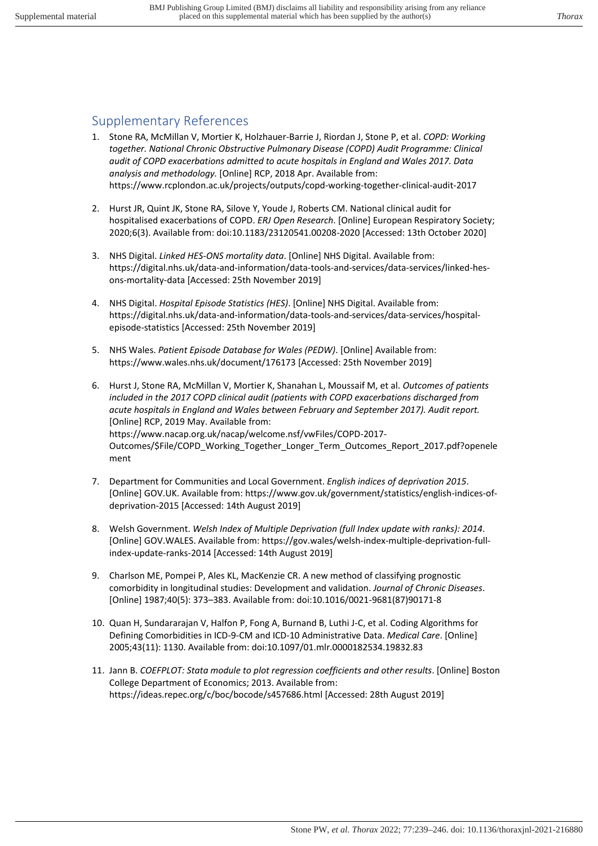## Supplementary References

- 1. Stone RA, McMillan V, Mortier K, Holzhauer-Barrie J, Riordan J, Stone P, et al. *COPD: Working together. National Chronic Obstructive Pulmonary Disease (COPD) Audit Programme: Clinical audit of COPD exacerbations admitted to acute hospitals in England and Wales 2017. Data analysis and methodology.* [Online] RCP, 2018 Apr. Available from: https://www.rcplondon.ac.uk/projects/outputs/copd-working-together-clinical-audit-2017
- 2. Hurst JR, Quint JK, Stone RA, Silove Y, Youde J, Roberts CM. National clinical audit for hospitalised exacerbations of COPD. *ERJ Open Research*. [Online] European Respiratory Society; 2020;6(3). Available from: doi:10.1183/23120541.00208-2020 [Accessed: 13th October 2020]
- 3. NHS Digital. *Linked HES-ONS mortality data*. [Online] NHS Digital. Available from: https://digital.nhs.uk/data-and-information/data-tools-and-services/data-services/linked-hesons-mortality-data [Accessed: 25th November 2019]
- 4. NHS Digital. *Hospital Episode Statistics (HES)*. [Online] NHS Digital. Available from: https://digital.nhs.uk/data-and-information/data-tools-and-services/data-services/hospitalepisode-statistics [Accessed: 25th November 2019]
- 5. NHS Wales. *Patient Episode Database for Wales (PEDW)*. [Online] Available from: https://www.wales.nhs.uk/document/176173 [Accessed: 25th November 2019]
- 6. Hurst J, Stone RA, McMillan V, Mortier K, Shanahan L, Moussaif M, et al. *Outcomes of patients included in the 2017 COPD clinical audit (patients with COPD exacerbations discharged from acute hospitals in England and Wales between February and September 2017). Audit report.* [Online] RCP, 2019 May. Available from: https://www.nacap.org.uk/nacap/welcome.nsf/vwFiles/COPD-2017- Outcomes/\$File/COPD\_Working\_Together\_Longer\_Term\_Outcomes\_Report\_2017.pdf?openele ment
- 7. Department for Communities and Local Government. *English indices of deprivation 2015*. [Online] GOV.UK. Available from: https://www.gov.uk/government/statistics/english-indices-ofdeprivation-2015 [Accessed: 14th August 2019]
- 8. Welsh Government. *Welsh Index of Multiple Deprivation (full Index update with ranks): 2014*. [Online] GOV.WALES. Available from: https://gov.wales/welsh-index-multiple-deprivation-fullindex-update-ranks-2014 [Accessed: 14th August 2019]
- 9. Charlson ME, Pompei P, Ales KL, MacKenzie CR. A new method of classifying prognostic comorbidity in longitudinal studies: Development and validation. *Journal of Chronic Diseases*. [Online] 1987;40(5): 373–383. Available from: doi:10.1016/0021-9681(87)90171-8
- 10. Quan H, Sundararajan V, Halfon P, Fong A, Burnand B, Luthi J-C, et al. Coding Algorithms for Defining Comorbidities in ICD-9-CM and ICD-10 Administrative Data. *Medical Care*. [Online] 2005;43(11): 1130. Available from: doi:10.1097/01.mlr.0000182534.19832.83
- 11. Jann B. *COEFPLOT: Stata module to plot regression coefficients and other results*. [Online] Boston College Department of Economics; 2013. Available from: https://ideas.repec.org/c/boc/bocode/s457686.html [Accessed: 28th August 2019]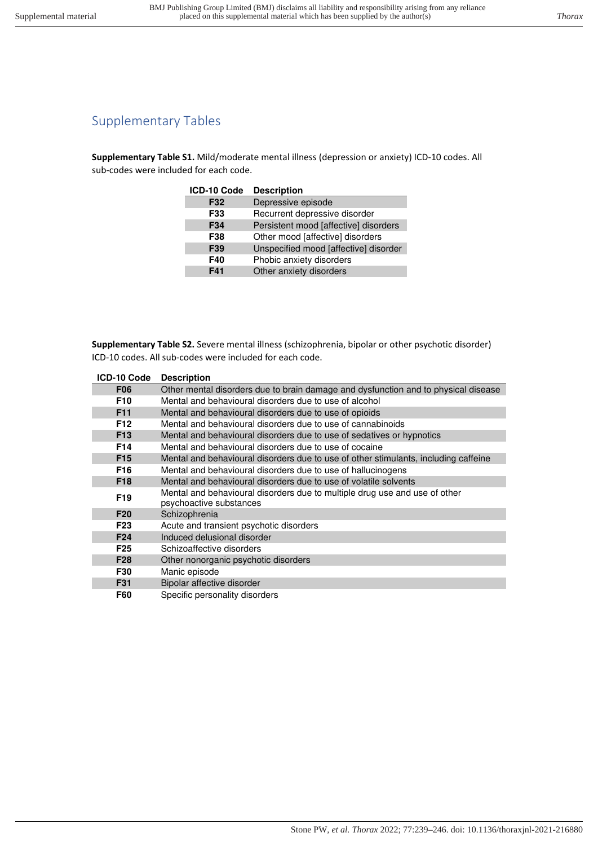# Supplementary Tables

**Supplementary Table S1.** Mild/moderate mental illness (depression or anxiety) ICD-10 codes. All sub-codes were included for each code.

| ICD-10 Code | <b>Description</b>                    |
|-------------|---------------------------------------|
| F32         | Depressive episode                    |
| F33         | Recurrent depressive disorder         |
| F34         | Persistent mood [affective] disorders |
| F38         | Other mood [affective] disorders      |
| F39         | Unspecified mood [affective] disorder |
| F40         | Phobic anxiety disorders              |
| F41         | Other anxiety disorders               |

**Supplementary Table S2.** Severe mental illness (schizophrenia, bipolar or other psychotic disorder) ICD-10 codes. All sub-codes were included for each code.

| ICD-10 Code     | <b>Description</b>                                                                  |
|-----------------|-------------------------------------------------------------------------------------|
| <b>F06</b>      | Other mental disorders due to brain damage and dysfunction and to physical disease  |
| F <sub>10</sub> | Mental and behavioural disorders due to use of alcohol                              |
| F <sub>11</sub> | Mental and behavioural disorders due to use of opioids                              |
| F <sub>12</sub> | Mental and behavioural disorders due to use of cannabinoids                         |
| F <sub>13</sub> | Mental and behavioural disorders due to use of sedatives or hypnotics               |
| F <sub>14</sub> | Mental and behavioural disorders due to use of cocaine                              |
| F <sub>15</sub> | Mental and behavioural disorders due to use of other stimulants, including caffeine |
| F <sub>16</sub> | Mental and behavioural disorders due to use of hallucinogens                        |
| F <sub>18</sub> | Mental and behavioural disorders due to use of volatile solvents                    |
| F <sub>19</sub> | Mental and behavioural disorders due to multiple drug use and use of other          |
|                 | psychoactive substances                                                             |
| F <sub>20</sub> | Schizophrenia                                                                       |
| F <sub>23</sub> | Acute and transient psychotic disorders                                             |
| F <sub>24</sub> | Induced delusional disorder                                                         |
| F <sub>25</sub> | Schizoaffective disorders                                                           |
| F <sub>28</sub> | Other nonorganic psychotic disorders                                                |
| F30             | Manic episode                                                                       |
| F31             | Bipolar affective disorder                                                          |
| <b>F60</b>      | Specific personality disorders                                                      |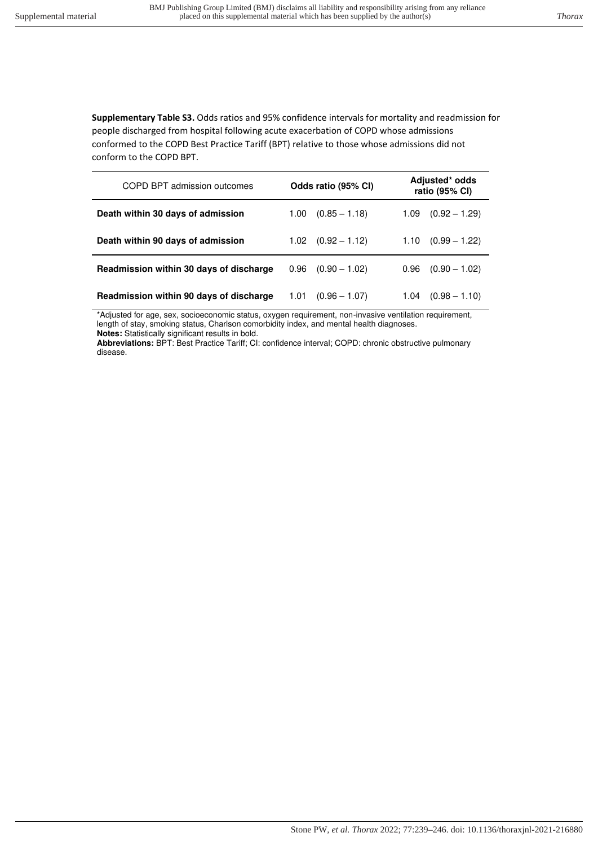**Supplementary Table S3.** Odds ratios and 95% confidence intervals for mortality and readmission for people discharged from hospital following acute exacerbation of COPD whose admissions conformed to the COPD Best Practice Tariff (BPT) relative to those whose admissions did not conform to the COPD BPT.

| COPD BPT admission outcomes             | Odds ratio (95% CI)     | Adjusted* odds<br>ratio (95% CI) |  |  |
|-----------------------------------------|-------------------------|----------------------------------|--|--|
| Death within 30 days of admission       | $(0.85 - 1.18)$<br>1.00 | $(0.92 - 1.29)$<br>1.09          |  |  |
| Death within 90 days of admission       | $1.02$ $(0.92 - 1.12)$  | $(0.99 - 1.22)$<br>1.10          |  |  |
| Readmission within 30 days of discharge | $(0.90 - 1.02)$<br>0.96 | 0.96<br>$(0.90 - 1.02)$          |  |  |
| Readmission within 90 days of discharge | 1.01<br>$(0.96 - 1.07)$ | $(0.98 - 1.10)$<br>1.04          |  |  |

\*Adjusted for age, sex, socioeconomic status, oxygen requirement, non-invasive ventilation requirement, length of stay, smoking status, Charlson comorbidity index, and mental health diagnoses. **Notes:** Statistically significant results in bold.

**Abbreviations:** BPT: Best Practice Tariff; CI: confidence interval; COPD: chronic obstructive pulmonary disease.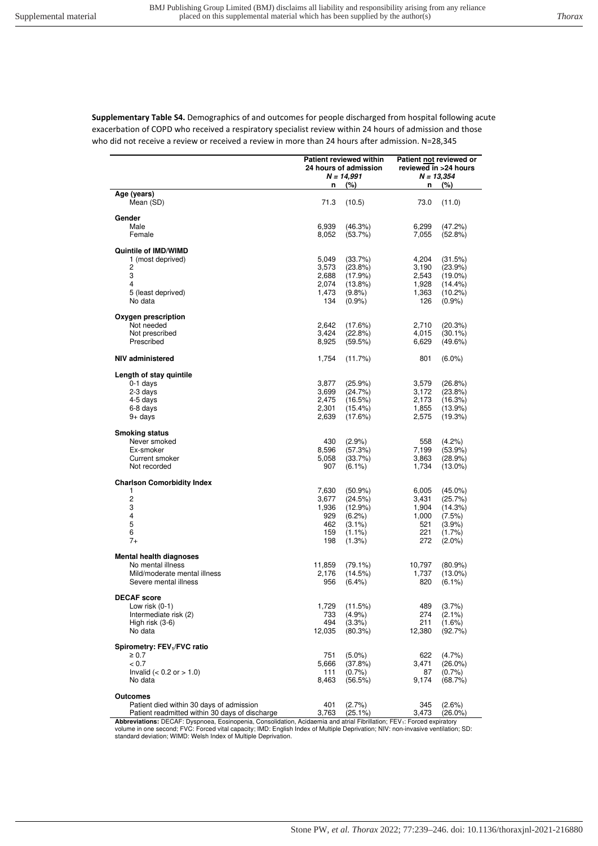**Supplementary Table S4.** Demographics of and outcomes for people discharged from hospital following acute exacerbation of COPD who received a respiratory specialist review within 24 hours of admission and those who did not receive a review or received a review in more than 24 hours after admission. N=28,345

| $N = 14,991$<br>$N = 13,354$<br>(%)<br>(%)<br>n<br>n<br>Age (years)<br>71.3<br>73.0<br>(11.0)<br>Mean (SD)<br>(10.5)<br>Gender<br>Male<br>6,939<br>(46.3%)<br>6,299<br>(47.2%)<br>Female<br>8,052<br>(53.7%)<br>7,055<br>(52.8%)<br>Quintile of IMD/WIMD<br>1 (most deprived)<br>5,049<br>(33.7%)<br>4,204<br>(31.5%)<br>2<br>3,573<br>$(23.8\%)$<br>3,190<br>(23.9%)<br>3<br>2,688<br>(17.9%)<br>2,543<br>$(19.0\%)$<br>4<br>2,074<br>$(13.8\%)$<br>1,928<br>$(14.4\%)$<br>5 (least deprived)<br>1,473<br>(9.8%<br>1,363<br>(10.2%)<br>No data<br>134<br>$(0.9\%)$<br>126<br>$(0.9\%)$<br>Oxygen prescription<br>Not needed<br>2,642<br>(17.6%)<br>2,710<br>(20.3%)<br>3,424<br>Not prescribed<br>(22.8%)<br>4,015<br>$(30.1\%)$<br>Prescribed<br>8,925<br>(59.5%)<br>6,629<br>$(49.6\%)$<br>NIV administered<br>1,754<br>(11.7%)<br>801<br>$(6.0\%)$<br>Length of stay quintile<br>$0-1$ days<br>3,877<br>$(25.9\%)$<br>$(26.8\%)$<br>3,579<br>2-3 days<br>3,699<br>(24.7%)<br>3,172<br>$(23.8\%)$<br>2,475<br>4-5 days<br>(16.5%)<br>2,173<br>(16.3%)<br>6-8 days<br>2,301<br>$(15.4\%)$<br>1,855<br>(13.9%)<br>$9+$ days<br>(17.6%)<br>2,639<br>2,575<br>(19.3%)<br><b>Smoking status</b><br>Never smoked<br>430<br>$(2.9\%)$<br>558<br>$(4.2\%)$<br>Ex-smoker<br>8,596<br>(57.3%)<br>7,199<br>$(53.9\%)$<br>Current smoker<br>5,058<br>(33.7%)<br>3,863<br>(28.9%)<br>Not recorded<br>907<br>$(6.1\%)$<br>1,734<br>$(13.0\%)$<br><b>Charlson Comorbidity Index</b><br>1<br>7,630<br>$(50.9\%)$<br>6,005<br>$(45.0\%)$<br>$\sqrt{2}$<br>3,677<br>(24.5%)<br>3,431<br>(25.7%)<br>3<br>1,936<br>(12.9%)<br>1,904<br>(14.3%)<br>4<br>929<br>(6.2%)<br>1,000<br>(7.5%)<br>5<br>462<br>$(3.1\%)$<br>521<br>$(3.9\%)$<br>6<br>221<br>159<br>$(1.1\%)$<br>$(1.7\%)$<br>$7+$<br>198<br>(1.3%)<br>272<br>$(2.0\%)$<br><b>Mental health diagnoses</b><br>No mental illness<br>11,859<br>$(79.1\%)$<br>10,797<br>$(80.9\%)$<br>Mild/moderate mental illness<br>2,176<br>(14.5%)<br>1,737<br>$(13.0\%)$<br>Severe mental illness<br>956<br>$(6.4\%)$<br>820<br>$(6.1\%)$<br><b>DECAF</b> score<br>1,729<br>(11.5%)<br>489<br>(3.7%)<br>Low risk (0-1)<br>Intermediate risk (2)<br>(4.9%<br>733<br>274<br>$(2.1\%)$<br>494<br>(3.3%)<br>211<br>$(1.6\%)$<br>High risk (3-6)<br>No data<br>12,035<br>(80.3%)<br>12,380<br>(92.7%)<br>Spirometry: FEV <sub>1</sub> /FVC ratio<br>$\geq 0.7$<br>751<br>$(5.0\%)$<br>622<br>(4.7%<br>< 0.7<br>5,666<br>(37.8%)<br>3,471<br>$(26.0\%)$<br>Invalid $(< 0.2$ or $> 1.0$ )<br>111<br>(0.7%<br>$(0.7\%)$<br>87<br>No data<br>8,463<br>(56.5%)<br>9,174<br>(68.7%)<br><b>Outcomes</b><br>Patient died within 30 days of admission<br>401<br>(2.7%)<br>345<br>(2.6%)<br>Patient readmitted within 30 days of discharge<br>3,763<br>(25.1%)<br>3,473<br>$(26.0\%)$ | <b>Patient reviewed within</b><br>24 hours of admission |  | Patient not reviewed or<br>reviewed in >24 hours |  |  |
|-----------------------------------------------------------------------------------------------------------------------------------------------------------------------------------------------------------------------------------------------------------------------------------------------------------------------------------------------------------------------------------------------------------------------------------------------------------------------------------------------------------------------------------------------------------------------------------------------------------------------------------------------------------------------------------------------------------------------------------------------------------------------------------------------------------------------------------------------------------------------------------------------------------------------------------------------------------------------------------------------------------------------------------------------------------------------------------------------------------------------------------------------------------------------------------------------------------------------------------------------------------------------------------------------------------------------------------------------------------------------------------------------------------------------------------------------------------------------------------------------------------------------------------------------------------------------------------------------------------------------------------------------------------------------------------------------------------------------------------------------------------------------------------------------------------------------------------------------------------------------------------------------------------------------------------------------------------------------------------------------------------------------------------------------------------------------------------------------------------------------------------------------------------------------------------------------------------------------------------------------------------------------------------------------------------------------------------------------------------------------------------------------------------------------------------------------------------------------------------------------------------------------------------------------------------------------------------------------------------------------------------------------------------------------------------------------------------------------------------------------------------------------------------------------|---------------------------------------------------------|--|--------------------------------------------------|--|--|
|                                                                                                                                                                                                                                                                                                                                                                                                                                                                                                                                                                                                                                                                                                                                                                                                                                                                                                                                                                                                                                                                                                                                                                                                                                                                                                                                                                                                                                                                                                                                                                                                                                                                                                                                                                                                                                                                                                                                                                                                                                                                                                                                                                                                                                                                                                                                                                                                                                                                                                                                                                                                                                                                                                                                                                                               |                                                         |  |                                                  |  |  |
|                                                                                                                                                                                                                                                                                                                                                                                                                                                                                                                                                                                                                                                                                                                                                                                                                                                                                                                                                                                                                                                                                                                                                                                                                                                                                                                                                                                                                                                                                                                                                                                                                                                                                                                                                                                                                                                                                                                                                                                                                                                                                                                                                                                                                                                                                                                                                                                                                                                                                                                                                                                                                                                                                                                                                                                               |                                                         |  |                                                  |  |  |
|                                                                                                                                                                                                                                                                                                                                                                                                                                                                                                                                                                                                                                                                                                                                                                                                                                                                                                                                                                                                                                                                                                                                                                                                                                                                                                                                                                                                                                                                                                                                                                                                                                                                                                                                                                                                                                                                                                                                                                                                                                                                                                                                                                                                                                                                                                                                                                                                                                                                                                                                                                                                                                                                                                                                                                                               |                                                         |  |                                                  |  |  |
|                                                                                                                                                                                                                                                                                                                                                                                                                                                                                                                                                                                                                                                                                                                                                                                                                                                                                                                                                                                                                                                                                                                                                                                                                                                                                                                                                                                                                                                                                                                                                                                                                                                                                                                                                                                                                                                                                                                                                                                                                                                                                                                                                                                                                                                                                                                                                                                                                                                                                                                                                                                                                                                                                                                                                                                               |                                                         |  |                                                  |  |  |
|                                                                                                                                                                                                                                                                                                                                                                                                                                                                                                                                                                                                                                                                                                                                                                                                                                                                                                                                                                                                                                                                                                                                                                                                                                                                                                                                                                                                                                                                                                                                                                                                                                                                                                                                                                                                                                                                                                                                                                                                                                                                                                                                                                                                                                                                                                                                                                                                                                                                                                                                                                                                                                                                                                                                                                                               |                                                         |  |                                                  |  |  |
|                                                                                                                                                                                                                                                                                                                                                                                                                                                                                                                                                                                                                                                                                                                                                                                                                                                                                                                                                                                                                                                                                                                                                                                                                                                                                                                                                                                                                                                                                                                                                                                                                                                                                                                                                                                                                                                                                                                                                                                                                                                                                                                                                                                                                                                                                                                                                                                                                                                                                                                                                                                                                                                                                                                                                                                               |                                                         |  |                                                  |  |  |
|                                                                                                                                                                                                                                                                                                                                                                                                                                                                                                                                                                                                                                                                                                                                                                                                                                                                                                                                                                                                                                                                                                                                                                                                                                                                                                                                                                                                                                                                                                                                                                                                                                                                                                                                                                                                                                                                                                                                                                                                                                                                                                                                                                                                                                                                                                                                                                                                                                                                                                                                                                                                                                                                                                                                                                                               |                                                         |  |                                                  |  |  |
|                                                                                                                                                                                                                                                                                                                                                                                                                                                                                                                                                                                                                                                                                                                                                                                                                                                                                                                                                                                                                                                                                                                                                                                                                                                                                                                                                                                                                                                                                                                                                                                                                                                                                                                                                                                                                                                                                                                                                                                                                                                                                                                                                                                                                                                                                                                                                                                                                                                                                                                                                                                                                                                                                                                                                                                               |                                                         |  |                                                  |  |  |
|                                                                                                                                                                                                                                                                                                                                                                                                                                                                                                                                                                                                                                                                                                                                                                                                                                                                                                                                                                                                                                                                                                                                                                                                                                                                                                                                                                                                                                                                                                                                                                                                                                                                                                                                                                                                                                                                                                                                                                                                                                                                                                                                                                                                                                                                                                                                                                                                                                                                                                                                                                                                                                                                                                                                                                                               |                                                         |  |                                                  |  |  |
|                                                                                                                                                                                                                                                                                                                                                                                                                                                                                                                                                                                                                                                                                                                                                                                                                                                                                                                                                                                                                                                                                                                                                                                                                                                                                                                                                                                                                                                                                                                                                                                                                                                                                                                                                                                                                                                                                                                                                                                                                                                                                                                                                                                                                                                                                                                                                                                                                                                                                                                                                                                                                                                                                                                                                                                               |                                                         |  |                                                  |  |  |
|                                                                                                                                                                                                                                                                                                                                                                                                                                                                                                                                                                                                                                                                                                                                                                                                                                                                                                                                                                                                                                                                                                                                                                                                                                                                                                                                                                                                                                                                                                                                                                                                                                                                                                                                                                                                                                                                                                                                                                                                                                                                                                                                                                                                                                                                                                                                                                                                                                                                                                                                                                                                                                                                                                                                                                                               |                                                         |  |                                                  |  |  |
|                                                                                                                                                                                                                                                                                                                                                                                                                                                                                                                                                                                                                                                                                                                                                                                                                                                                                                                                                                                                                                                                                                                                                                                                                                                                                                                                                                                                                                                                                                                                                                                                                                                                                                                                                                                                                                                                                                                                                                                                                                                                                                                                                                                                                                                                                                                                                                                                                                                                                                                                                                                                                                                                                                                                                                                               |                                                         |  |                                                  |  |  |
|                                                                                                                                                                                                                                                                                                                                                                                                                                                                                                                                                                                                                                                                                                                                                                                                                                                                                                                                                                                                                                                                                                                                                                                                                                                                                                                                                                                                                                                                                                                                                                                                                                                                                                                                                                                                                                                                                                                                                                                                                                                                                                                                                                                                                                                                                                                                                                                                                                                                                                                                                                                                                                                                                                                                                                                               |                                                         |  |                                                  |  |  |
|                                                                                                                                                                                                                                                                                                                                                                                                                                                                                                                                                                                                                                                                                                                                                                                                                                                                                                                                                                                                                                                                                                                                                                                                                                                                                                                                                                                                                                                                                                                                                                                                                                                                                                                                                                                                                                                                                                                                                                                                                                                                                                                                                                                                                                                                                                                                                                                                                                                                                                                                                                                                                                                                                                                                                                                               |                                                         |  |                                                  |  |  |
|                                                                                                                                                                                                                                                                                                                                                                                                                                                                                                                                                                                                                                                                                                                                                                                                                                                                                                                                                                                                                                                                                                                                                                                                                                                                                                                                                                                                                                                                                                                                                                                                                                                                                                                                                                                                                                                                                                                                                                                                                                                                                                                                                                                                                                                                                                                                                                                                                                                                                                                                                                                                                                                                                                                                                                                               |                                                         |  |                                                  |  |  |
|                                                                                                                                                                                                                                                                                                                                                                                                                                                                                                                                                                                                                                                                                                                                                                                                                                                                                                                                                                                                                                                                                                                                                                                                                                                                                                                                                                                                                                                                                                                                                                                                                                                                                                                                                                                                                                                                                                                                                                                                                                                                                                                                                                                                                                                                                                                                                                                                                                                                                                                                                                                                                                                                                                                                                                                               |                                                         |  |                                                  |  |  |
|                                                                                                                                                                                                                                                                                                                                                                                                                                                                                                                                                                                                                                                                                                                                                                                                                                                                                                                                                                                                                                                                                                                                                                                                                                                                                                                                                                                                                                                                                                                                                                                                                                                                                                                                                                                                                                                                                                                                                                                                                                                                                                                                                                                                                                                                                                                                                                                                                                                                                                                                                                                                                                                                                                                                                                                               |                                                         |  |                                                  |  |  |
|                                                                                                                                                                                                                                                                                                                                                                                                                                                                                                                                                                                                                                                                                                                                                                                                                                                                                                                                                                                                                                                                                                                                                                                                                                                                                                                                                                                                                                                                                                                                                                                                                                                                                                                                                                                                                                                                                                                                                                                                                                                                                                                                                                                                                                                                                                                                                                                                                                                                                                                                                                                                                                                                                                                                                                                               |                                                         |  |                                                  |  |  |
|                                                                                                                                                                                                                                                                                                                                                                                                                                                                                                                                                                                                                                                                                                                                                                                                                                                                                                                                                                                                                                                                                                                                                                                                                                                                                                                                                                                                                                                                                                                                                                                                                                                                                                                                                                                                                                                                                                                                                                                                                                                                                                                                                                                                                                                                                                                                                                                                                                                                                                                                                                                                                                                                                                                                                                                               |                                                         |  |                                                  |  |  |
|                                                                                                                                                                                                                                                                                                                                                                                                                                                                                                                                                                                                                                                                                                                                                                                                                                                                                                                                                                                                                                                                                                                                                                                                                                                                                                                                                                                                                                                                                                                                                                                                                                                                                                                                                                                                                                                                                                                                                                                                                                                                                                                                                                                                                                                                                                                                                                                                                                                                                                                                                                                                                                                                                                                                                                                               |                                                         |  |                                                  |  |  |
|                                                                                                                                                                                                                                                                                                                                                                                                                                                                                                                                                                                                                                                                                                                                                                                                                                                                                                                                                                                                                                                                                                                                                                                                                                                                                                                                                                                                                                                                                                                                                                                                                                                                                                                                                                                                                                                                                                                                                                                                                                                                                                                                                                                                                                                                                                                                                                                                                                                                                                                                                                                                                                                                                                                                                                                               |                                                         |  |                                                  |  |  |
|                                                                                                                                                                                                                                                                                                                                                                                                                                                                                                                                                                                                                                                                                                                                                                                                                                                                                                                                                                                                                                                                                                                                                                                                                                                                                                                                                                                                                                                                                                                                                                                                                                                                                                                                                                                                                                                                                                                                                                                                                                                                                                                                                                                                                                                                                                                                                                                                                                                                                                                                                                                                                                                                                                                                                                                               |                                                         |  |                                                  |  |  |
|                                                                                                                                                                                                                                                                                                                                                                                                                                                                                                                                                                                                                                                                                                                                                                                                                                                                                                                                                                                                                                                                                                                                                                                                                                                                                                                                                                                                                                                                                                                                                                                                                                                                                                                                                                                                                                                                                                                                                                                                                                                                                                                                                                                                                                                                                                                                                                                                                                                                                                                                                                                                                                                                                                                                                                                               |                                                         |  |                                                  |  |  |
|                                                                                                                                                                                                                                                                                                                                                                                                                                                                                                                                                                                                                                                                                                                                                                                                                                                                                                                                                                                                                                                                                                                                                                                                                                                                                                                                                                                                                                                                                                                                                                                                                                                                                                                                                                                                                                                                                                                                                                                                                                                                                                                                                                                                                                                                                                                                                                                                                                                                                                                                                                                                                                                                                                                                                                                               |                                                         |  |                                                  |  |  |
|                                                                                                                                                                                                                                                                                                                                                                                                                                                                                                                                                                                                                                                                                                                                                                                                                                                                                                                                                                                                                                                                                                                                                                                                                                                                                                                                                                                                                                                                                                                                                                                                                                                                                                                                                                                                                                                                                                                                                                                                                                                                                                                                                                                                                                                                                                                                                                                                                                                                                                                                                                                                                                                                                                                                                                                               |                                                         |  |                                                  |  |  |
|                                                                                                                                                                                                                                                                                                                                                                                                                                                                                                                                                                                                                                                                                                                                                                                                                                                                                                                                                                                                                                                                                                                                                                                                                                                                                                                                                                                                                                                                                                                                                                                                                                                                                                                                                                                                                                                                                                                                                                                                                                                                                                                                                                                                                                                                                                                                                                                                                                                                                                                                                                                                                                                                                                                                                                                               |                                                         |  |                                                  |  |  |
|                                                                                                                                                                                                                                                                                                                                                                                                                                                                                                                                                                                                                                                                                                                                                                                                                                                                                                                                                                                                                                                                                                                                                                                                                                                                                                                                                                                                                                                                                                                                                                                                                                                                                                                                                                                                                                                                                                                                                                                                                                                                                                                                                                                                                                                                                                                                                                                                                                                                                                                                                                                                                                                                                                                                                                                               |                                                         |  |                                                  |  |  |
|                                                                                                                                                                                                                                                                                                                                                                                                                                                                                                                                                                                                                                                                                                                                                                                                                                                                                                                                                                                                                                                                                                                                                                                                                                                                                                                                                                                                                                                                                                                                                                                                                                                                                                                                                                                                                                                                                                                                                                                                                                                                                                                                                                                                                                                                                                                                                                                                                                                                                                                                                                                                                                                                                                                                                                                               |                                                         |  |                                                  |  |  |
|                                                                                                                                                                                                                                                                                                                                                                                                                                                                                                                                                                                                                                                                                                                                                                                                                                                                                                                                                                                                                                                                                                                                                                                                                                                                                                                                                                                                                                                                                                                                                                                                                                                                                                                                                                                                                                                                                                                                                                                                                                                                                                                                                                                                                                                                                                                                                                                                                                                                                                                                                                                                                                                                                                                                                                                               |                                                         |  |                                                  |  |  |
|                                                                                                                                                                                                                                                                                                                                                                                                                                                                                                                                                                                                                                                                                                                                                                                                                                                                                                                                                                                                                                                                                                                                                                                                                                                                                                                                                                                                                                                                                                                                                                                                                                                                                                                                                                                                                                                                                                                                                                                                                                                                                                                                                                                                                                                                                                                                                                                                                                                                                                                                                                                                                                                                                                                                                                                               |                                                         |  |                                                  |  |  |
|                                                                                                                                                                                                                                                                                                                                                                                                                                                                                                                                                                                                                                                                                                                                                                                                                                                                                                                                                                                                                                                                                                                                                                                                                                                                                                                                                                                                                                                                                                                                                                                                                                                                                                                                                                                                                                                                                                                                                                                                                                                                                                                                                                                                                                                                                                                                                                                                                                                                                                                                                                                                                                                                                                                                                                                               |                                                         |  |                                                  |  |  |
|                                                                                                                                                                                                                                                                                                                                                                                                                                                                                                                                                                                                                                                                                                                                                                                                                                                                                                                                                                                                                                                                                                                                                                                                                                                                                                                                                                                                                                                                                                                                                                                                                                                                                                                                                                                                                                                                                                                                                                                                                                                                                                                                                                                                                                                                                                                                                                                                                                                                                                                                                                                                                                                                                                                                                                                               |                                                         |  |                                                  |  |  |
|                                                                                                                                                                                                                                                                                                                                                                                                                                                                                                                                                                                                                                                                                                                                                                                                                                                                                                                                                                                                                                                                                                                                                                                                                                                                                                                                                                                                                                                                                                                                                                                                                                                                                                                                                                                                                                                                                                                                                                                                                                                                                                                                                                                                                                                                                                                                                                                                                                                                                                                                                                                                                                                                                                                                                                                               |                                                         |  |                                                  |  |  |
|                                                                                                                                                                                                                                                                                                                                                                                                                                                                                                                                                                                                                                                                                                                                                                                                                                                                                                                                                                                                                                                                                                                                                                                                                                                                                                                                                                                                                                                                                                                                                                                                                                                                                                                                                                                                                                                                                                                                                                                                                                                                                                                                                                                                                                                                                                                                                                                                                                                                                                                                                                                                                                                                                                                                                                                               |                                                         |  |                                                  |  |  |
|                                                                                                                                                                                                                                                                                                                                                                                                                                                                                                                                                                                                                                                                                                                                                                                                                                                                                                                                                                                                                                                                                                                                                                                                                                                                                                                                                                                                                                                                                                                                                                                                                                                                                                                                                                                                                                                                                                                                                                                                                                                                                                                                                                                                                                                                                                                                                                                                                                                                                                                                                                                                                                                                                                                                                                                               |                                                         |  |                                                  |  |  |
|                                                                                                                                                                                                                                                                                                                                                                                                                                                                                                                                                                                                                                                                                                                                                                                                                                                                                                                                                                                                                                                                                                                                                                                                                                                                                                                                                                                                                                                                                                                                                                                                                                                                                                                                                                                                                                                                                                                                                                                                                                                                                                                                                                                                                                                                                                                                                                                                                                                                                                                                                                                                                                                                                                                                                                                               |                                                         |  |                                                  |  |  |
|                                                                                                                                                                                                                                                                                                                                                                                                                                                                                                                                                                                                                                                                                                                                                                                                                                                                                                                                                                                                                                                                                                                                                                                                                                                                                                                                                                                                                                                                                                                                                                                                                                                                                                                                                                                                                                                                                                                                                                                                                                                                                                                                                                                                                                                                                                                                                                                                                                                                                                                                                                                                                                                                                                                                                                                               |                                                         |  |                                                  |  |  |
|                                                                                                                                                                                                                                                                                                                                                                                                                                                                                                                                                                                                                                                                                                                                                                                                                                                                                                                                                                                                                                                                                                                                                                                                                                                                                                                                                                                                                                                                                                                                                                                                                                                                                                                                                                                                                                                                                                                                                                                                                                                                                                                                                                                                                                                                                                                                                                                                                                                                                                                                                                                                                                                                                                                                                                                               |                                                         |  |                                                  |  |  |
|                                                                                                                                                                                                                                                                                                                                                                                                                                                                                                                                                                                                                                                                                                                                                                                                                                                                                                                                                                                                                                                                                                                                                                                                                                                                                                                                                                                                                                                                                                                                                                                                                                                                                                                                                                                                                                                                                                                                                                                                                                                                                                                                                                                                                                                                                                                                                                                                                                                                                                                                                                                                                                                                                                                                                                                               |                                                         |  |                                                  |  |  |
|                                                                                                                                                                                                                                                                                                                                                                                                                                                                                                                                                                                                                                                                                                                                                                                                                                                                                                                                                                                                                                                                                                                                                                                                                                                                                                                                                                                                                                                                                                                                                                                                                                                                                                                                                                                                                                                                                                                                                                                                                                                                                                                                                                                                                                                                                                                                                                                                                                                                                                                                                                                                                                                                                                                                                                                               |                                                         |  |                                                  |  |  |
|                                                                                                                                                                                                                                                                                                                                                                                                                                                                                                                                                                                                                                                                                                                                                                                                                                                                                                                                                                                                                                                                                                                                                                                                                                                                                                                                                                                                                                                                                                                                                                                                                                                                                                                                                                                                                                                                                                                                                                                                                                                                                                                                                                                                                                                                                                                                                                                                                                                                                                                                                                                                                                                                                                                                                                                               |                                                         |  |                                                  |  |  |
|                                                                                                                                                                                                                                                                                                                                                                                                                                                                                                                                                                                                                                                                                                                                                                                                                                                                                                                                                                                                                                                                                                                                                                                                                                                                                                                                                                                                                                                                                                                                                                                                                                                                                                                                                                                                                                                                                                                                                                                                                                                                                                                                                                                                                                                                                                                                                                                                                                                                                                                                                                                                                                                                                                                                                                                               |                                                         |  |                                                  |  |  |
|                                                                                                                                                                                                                                                                                                                                                                                                                                                                                                                                                                                                                                                                                                                                                                                                                                                                                                                                                                                                                                                                                                                                                                                                                                                                                                                                                                                                                                                                                                                                                                                                                                                                                                                                                                                                                                                                                                                                                                                                                                                                                                                                                                                                                                                                                                                                                                                                                                                                                                                                                                                                                                                                                                                                                                                               |                                                         |  |                                                  |  |  |
|                                                                                                                                                                                                                                                                                                                                                                                                                                                                                                                                                                                                                                                                                                                                                                                                                                                                                                                                                                                                                                                                                                                                                                                                                                                                                                                                                                                                                                                                                                                                                                                                                                                                                                                                                                                                                                                                                                                                                                                                                                                                                                                                                                                                                                                                                                                                                                                                                                                                                                                                                                                                                                                                                                                                                                                               |                                                         |  |                                                  |  |  |
|                                                                                                                                                                                                                                                                                                                                                                                                                                                                                                                                                                                                                                                                                                                                                                                                                                                                                                                                                                                                                                                                                                                                                                                                                                                                                                                                                                                                                                                                                                                                                                                                                                                                                                                                                                                                                                                                                                                                                                                                                                                                                                                                                                                                                                                                                                                                                                                                                                                                                                                                                                                                                                                                                                                                                                                               |                                                         |  |                                                  |  |  |

**Abbreviations:** DECAF: Dyspnoea, Eosinopenia, Consolidation, Acidaemia and atrial Fibrillation; FEV<sub>1</sub>: Forced expiratory<br>volume in one second; FVC: Forced vital capacity; IMD: English Index of Multiple Deprivation; NIV: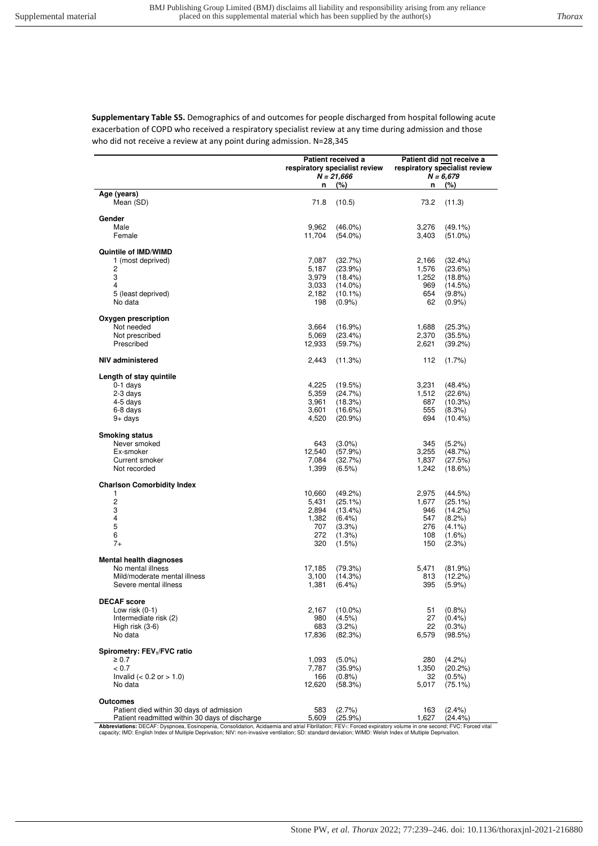**Supplementary Table S5.** Demographics of and outcomes for people discharged from hospital following acute exacerbation of COPD who received a respiratory specialist review at any time during admission and those who did not receive a review at any point during admission. N=28,345

|                                                | n               | Patient received a<br>respiratory specialist review<br>$N = 21,666$<br>(%) | n              | Patient did not receive a<br>respiratory specialist review<br>$N = 6,679$<br>(%) |
|------------------------------------------------|-----------------|----------------------------------------------------------------------------|----------------|----------------------------------------------------------------------------------|
| Age (years)                                    |                 |                                                                            |                |                                                                                  |
| Mean (SD)                                      | 71.8            | (10.5)                                                                     | 73.2           | (11.3)                                                                           |
| Gender                                         |                 |                                                                            |                |                                                                                  |
| Male                                           | 9,962           | $(46.0\%)$                                                                 | 3,276          | $(49.1\%)$                                                                       |
| Female                                         | 11,704          | $(54.0\%)$                                                                 | 3,403          | $(51.0\%)$                                                                       |
| Quintile of IMD/WIMD                           |                 |                                                                            |                |                                                                                  |
| 1 (most deprived)                              | 7,087           | (32.7%)                                                                    | 2,166          | (32.4%)                                                                          |
| 2                                              | 5,187           | (23.9%)                                                                    | 1,576          | (23.6%)                                                                          |
| 3<br>4                                         | 3,979           | (18.4%)                                                                    | 1,252<br>969   | $(18.8\%)$                                                                       |
| 5 (least deprived)                             | 3,033<br>2,182  | $(14.0\%)$<br>$(10.1\%)$                                                   | 654            | (14.5%)<br>(9.8%                                                                 |
| No data                                        | 198             | $(0.9\%)$                                                                  | 62             | (0.9%                                                                            |
|                                                |                 |                                                                            |                |                                                                                  |
| Oxygen prescription<br>Not needed              |                 |                                                                            |                |                                                                                  |
| Not prescribed                                 | 3,664<br>5,069  | (16.9%)<br>(23.4%)                                                         | 1,688<br>2,370 | (25.3%)<br>(35.5%)                                                               |
| Prescribed                                     | 12,933          | (59.7%)                                                                    | 2,621          | (39.2%)                                                                          |
|                                                |                 |                                                                            |                |                                                                                  |
| NIV administered                               | 2,443           | (11.3%)                                                                    | 112            | $(1.7\%)$                                                                        |
| Length of stay quintile                        |                 |                                                                            |                |                                                                                  |
| $0-1$ days                                     | 4,225           | (19.5%)                                                                    | 3,231          | $(48.4\%)$                                                                       |
| 2-3 days                                       | 5,359           | (24.7%)                                                                    | 1,512          | (22.6%)                                                                          |
| 4-5 days<br>6-8 days                           | 3,961           | (18.3%)                                                                    | 687<br>555     | (10.3%)                                                                          |
| $9+$ days                                      | 3,601<br>4,520  | (16.6%)<br>$(20.9\%)$                                                      | 694            | (8.3%)<br>$(10.4\%)$                                                             |
|                                                |                 |                                                                            |                |                                                                                  |
| <b>Smoking status</b>                          |                 |                                                                            |                |                                                                                  |
| Never smoked                                   | 643             | $(3.0\%)$                                                                  | 345            | (5.2%)                                                                           |
| Ex-smoker<br>Current smoker                    | 12,540<br>7,084 | (57.9%)<br>(32.7%)                                                         | 3,255<br>1,837 | (48.7%)<br>(27.5%)                                                               |
| Not recorded                                   | 1,399           | $(6.5\%)$                                                                  | 1,242          | (18.6%)                                                                          |
|                                                |                 |                                                                            |                |                                                                                  |
| <b>Charlson Comorbidity Index</b>              |                 |                                                                            |                |                                                                                  |
| 1<br>2                                         | 10,660<br>5,431 | $(49.2\%)$<br>$(25.1\%)$                                                   | 2,975<br>1,677 | (44.5%)<br>$(25.1\%)$                                                            |
| 3                                              | 2,894           | (13.4%)                                                                    | 946            | (14.2%)                                                                          |
| 4                                              | 1,382           | $(6.4\%)$                                                                  | 547            | $(8.2\%)$                                                                        |
| 5                                              | 707             | (3.3%)                                                                     | 276            | $(4.1\%)$                                                                        |
| 6                                              | 272             | (1.3%)                                                                     | 108            | $(1.6\%)$                                                                        |
| $7+$                                           | 320             | (1.5%)                                                                     | 150            | (2.3%)                                                                           |
| <b>Mental health diagnoses</b>                 |                 |                                                                            |                |                                                                                  |
| No mental illness                              | 17,185          | (79.3%)                                                                    | 5,471          | (81.9%)                                                                          |
| Mild/moderate mental illness                   | 3,100           | (14.3%)                                                                    | 813            | (12.2%)                                                                          |
| Severe mental illness                          | 1,381           | $(6.4\%)$                                                                  | 395            | (5.9%)                                                                           |
| <b>DECAF</b> score                             |                 |                                                                            |                |                                                                                  |
| Low risk $(0-1)$                               | 2,167           | $(10.0\%)$                                                                 | 51             | (0.8%                                                                            |
| Intermediate risk (2)                          | 980             | (4.5%)                                                                     | 27             | $(0.4\%)$                                                                        |
| High risk (3-6)                                | 683             | (3.2%)                                                                     | 22             | $(0.3\%)$                                                                        |
| No data                                        | 17,836          | (82.3%)                                                                    | 6,579          | (98.5%)                                                                          |
| Spirometry: FEV <sub>1</sub> /FVC ratio        |                 |                                                                            |                |                                                                                  |
| $\geq 0.7$                                     | 1,093           | $(5.0\%)$                                                                  | 280            | (4.2%)                                                                           |
| < 0.7                                          | 7,787           | (35.9%)                                                                    | 1,350          | $(20.2\%)$                                                                       |
| Invalid ( $< 0.2$ or $> 1.0$ )                 | 166             | $(0.8\%)$                                                                  | 32             | $(0.5\%)$                                                                        |
| No data                                        | 12,620          | (58.3%)                                                                    | 5,017          | $(75.1\%)$                                                                       |
| Outcomes                                       |                 |                                                                            |                |                                                                                  |
| Patient died within 30 days of admission       | 583             | (2.7%)                                                                     | 163            | (2.4% )                                                                          |
| Patient readmitted within 30 days of discharge | 5,609           | (25.9%)                                                                    | 1,627          | (24.4%)                                                                          |

Patient readmitted within 30 days of discharge<br>Abbreviations: DECAF: Dyspnoea, Eosinopenia, Consolidation, Acidaemia and atrial Fibrillation; FEV; Forced expiratory volume in one second; FVC: Forced vital<br>Abbreviations: DE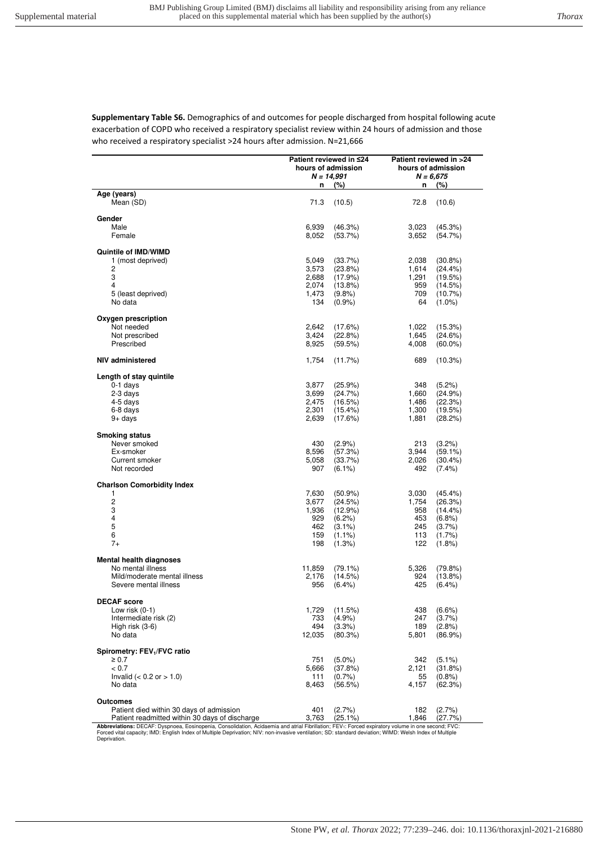**Supplementary Table S6.** Demographics of and outcomes for people discharged from hospital following acute exacerbation of COPD who received a respiratory specialist review within 24 hours of admission and those who received a respiratory specialist >24 hours after admission. N=21,666

|                                                |                | Patient reviewed in ≤24 | Patient reviewed in >24 |                       |  |
|------------------------------------------------|----------------|-------------------------|-------------------------|-----------------------|--|
|                                                |                | hours of admission      | hours of admission      |                       |  |
|                                                |                | $N = 14,991$            |                         | $N = 6,675$           |  |
|                                                | n              | (%)                     | n                       | (%)                   |  |
| Age (years)                                    |                |                         |                         |                       |  |
| Mean (SD)                                      | 71.3           | (10.5)                  | 72.8                    | (10.6)                |  |
|                                                |                |                         |                         |                       |  |
| Gender                                         |                |                         |                         |                       |  |
| Male                                           | 6,939          | (46.3%)                 | 3,023                   | (45.3%)               |  |
| Female                                         | 8,052          | (53.7%)                 | 3,652                   | (54.7%)               |  |
| Quintile of IMD/WIMD                           |                |                         |                         |                       |  |
| 1 (most deprived)                              | 5,049          | (33.7%)                 | 2,038                   | $(30.8\%)$            |  |
| 2                                              | 3,573          | (23.8%)                 | 1,614                   | $(24.4\%)$            |  |
| 3                                              | 2.688          | (17.9%)                 | 1,291                   | (19.5%)               |  |
| 4                                              | 2.074          | $(13.8\%)$              | 959                     | (14.5%)               |  |
| 5 (least deprived)                             | 1,473          | (9.8%                   | 709                     | $(10.7\%)$            |  |
| No data                                        | 134            | $(0.9\%)$               | 64                      | $(1.0\%)$             |  |
|                                                |                |                         |                         |                       |  |
| Oxygen prescription                            |                |                         |                         |                       |  |
| Not needed                                     | 2,642          | (17.6%)                 | 1,022                   | (15.3%)               |  |
| Not prescribed                                 | 3,424          | (22.8%)                 | 1,645                   | (24.6%)               |  |
| Prescribed                                     | 8,925          | (59.5%)                 | 4,008                   | $(60.0\%)$            |  |
|                                                |                |                         |                         |                       |  |
| <b>NIV administered</b>                        | 1,754          | (11.7%)                 | 689                     | (10.3%)               |  |
|                                                |                |                         |                         |                       |  |
| Length of stay quintile                        |                |                         |                         |                       |  |
| $0-1$ days                                     | 3,877          | (25.9%)                 | 348                     | $(5.2\%)$             |  |
| 2-3 days                                       | 3.699          | (24.7%)                 | 1,660                   | (24.9%)               |  |
| 4-5 days                                       | 2,475          | (16.5%)                 | 1,486                   | (22.3%)               |  |
| 6-8 days                                       | 2,301          | $(15.4\%)$              | 1,300                   | (19.5%)               |  |
| $9+$ days                                      | 2,639          | (17.6%)                 | 1,881                   | (28.2%)               |  |
|                                                |                |                         |                         |                       |  |
| <b>Smoking status</b>                          |                |                         |                         |                       |  |
| Never smoked                                   | 430            | (2.9%                   | 213                     | (3.2%)                |  |
| Ex-smoker                                      | 8,596          | (57.3%)                 | 3,944                   | $(59.1\%)$            |  |
| Current smoker                                 | 5,058          | (33.7%)                 | 2,026                   | $(30.4\%)$            |  |
| Not recorded                                   | 907            | $(6.1\%)$               | 492                     | $(7.4\%)$             |  |
|                                                |                |                         |                         |                       |  |
| <b>Charlson Comorbidity Index</b><br>1         |                |                         |                         |                       |  |
| $\overline{c}$                                 | 7,630          | $(50.9\%)$              | 3,030                   | $(45.4\%)$            |  |
| 3                                              | 3,677<br>1,936 | (24.5%)<br>(12.9%)      | 1,754<br>958            | (26.3%)<br>$(14.4\%)$ |  |
| $\overline{\mathbf{4}}$                        | 929            | $(6.2\%)$               | 453                     | (6.8%)                |  |
| 5                                              | 462            | $(3.1\%)$               | 245                     | $(3.7\%)$             |  |
| 6                                              | 159            | $(1.1\%)$               | 113                     | $(1.7\%)$             |  |
| $7+$                                           | 198            | (1.3%)                  | 122                     | $(1.8\%)$             |  |
|                                                |                |                         |                         |                       |  |
| <b>Mental health diagnoses</b>                 |                |                         |                         |                       |  |
| No mental illness                              | 11,859         | $(79.1\%)$              | 5,326                   | (79.8%)               |  |
| Mild/moderate mental illness                   | 2,176          | (14.5%)                 | 924                     | $(13.8\%)$            |  |
| Severe mental illness                          | 956            | $(6.4\%)$               | 425                     | $(6.4\%)$             |  |
|                                                |                |                         |                         |                       |  |
| <b>DECAF</b> score                             |                |                         |                         |                       |  |
| Low risk $(0-1)$                               | 1,729          | (11.5%)                 | 438                     | $(6.6\%)$             |  |
| Intermediate risk (2)                          | 733            | (4.9%                   | 247                     | (3.7%)                |  |
| High risk $(3-6)$                              | 494            | (3.3%)                  | 189                     | (2.8%                 |  |
| No data                                        | 12,035         | $(80.3\%)$              | 5,801                   | $(86.9\%)$            |  |
|                                                |                |                         |                         |                       |  |
| Spirometry: FEV <sub>1</sub> /FVC ratio        |                |                         |                         |                       |  |
| $\geq 0.7$                                     | 751            | $(5.0\%)$               | 342                     | $(5.1\%)$             |  |
| < 0.7                                          | 5,666          | (37.8%)                 | 2,121                   | (31.8%)               |  |
| Invalid ( $< 0.2$ or $> 1.0$ )                 | 111            | $(0.7\%)$               | 55                      | (0.8% )               |  |
| No data                                        | 8,463          | (56.5%)                 | 4,157                   | (62.3%)               |  |
|                                                |                |                         |                         |                       |  |
| <b>Outcomes</b>                                |                |                         |                         |                       |  |
| Patient died within 30 days of admission       | 401            | (2.7%)                  | 182                     | (2.7%                 |  |
| Patient readmitted within 30 days of discharge | 3,763          | $(25.1\%)$              | 1,846                   | (27.7%)               |  |

Patient readmitted within 30 days of discharge  $3,763$  (25.1%) 1,846 (27.7%)<br>Abbreviations: DECAF: Dyspnoea, Eosinopenia, Consolidation, Acidaemia and atrial Fibrillation; FEV<sub>1</sub>: Forced expiratory volume in one second; FV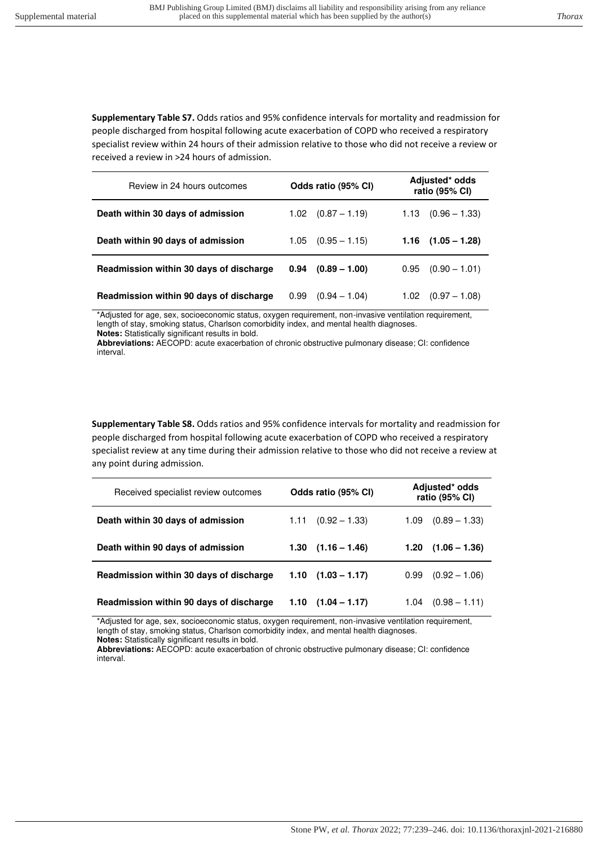**Supplementary Table S7.** Odds ratios and 95% confidence intervals for mortality and readmission for people discharged from hospital following acute exacerbation of COPD who received a respiratory specialist review within 24 hours of their admission relative to those who did not receive a review or received a review in >24 hours of admission.

| Review in 24 hours outcomes             | Odds ratio (95% CI)     | Adjusted* odds<br>ratio (95% CI) |  |  |
|-----------------------------------------|-------------------------|----------------------------------|--|--|
| Death within 30 days of admission       | $(0.87 - 1.19)$<br>1.02 | $1.13 \quad (0.96 - 1.33)$       |  |  |
| Death within 90 days of admission       | $(0.95 - 1.15)$<br>1.05 | $1.16$ $(1.05 - 1.28)$           |  |  |
| Readmission within 30 days of discharge | $(0.89 - 1.00)$<br>0.94 | $(0.90 - 1.01)$<br>0.95          |  |  |
| Readmission within 90 days of discharge | 0.99<br>$(0.94 - 1.04)$ | 1.02<br>$(0.97 - 1.08)$          |  |  |

\*Adjusted for age, sex, socioeconomic status, oxygen requirement, non-invasive ventilation requirement, length of stay, smoking status, Charlson comorbidity index, and mental health diagnoses. **Notes:** Statistically significant results in bold.

**Abbreviations:** AECOPD: acute exacerbation of chronic obstructive pulmonary disease; CI: confidence interval.

**Supplementary Table S8.** Odds ratios and 95% confidence intervals for mortality and readmission for people discharged from hospital following acute exacerbation of COPD who received a respiratory specialist review at any time during their admission relative to those who did not receive a review at any point during admission.

| Received specialist review outcomes     | Odds ratio (95% CI)        | Adjusted* odds<br>ratio (95% CI) |
|-----------------------------------------|----------------------------|----------------------------------|
| Death within 30 days of admission       | $(0.92 - 1.33)$<br>1.11    | $(0.89 - 1.33)$<br>1.09          |
| Death within 90 days of admission       | $1.30$ $(1.16 - 1.46)$     | $(1.06 - 1.36)$<br>1.20          |
| Readmission within 30 days of discharge | $1.10$ $(1.03 - 1.17)$     | $(0.92 - 1.06)$<br>0.99          |
| Readmission within 90 days of discharge | $1.10 \quad (1.04 - 1.17)$ | $(0.98 - 1.11)$<br>1.04          |

\*Adjusted for age, sex, socioeconomic status, oxygen requirement, non-invasive ventilation requirement, length of stay, smoking status, Charlson comorbidity index, and mental health diagnoses.

**Notes:** Statistically significant results in bold.

**Abbreviations:** AECOPD: acute exacerbation of chronic obstructive pulmonary disease; CI: confidence interval.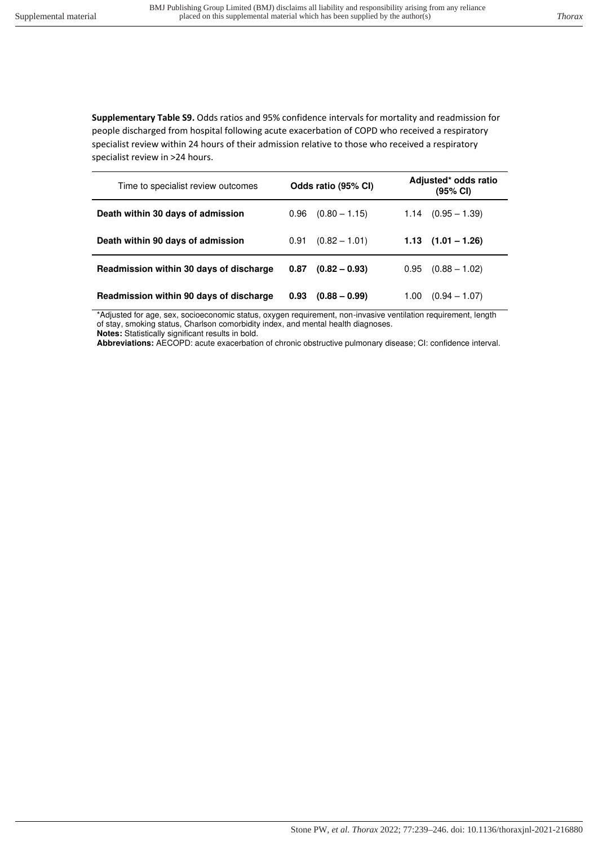**Supplementary Table S9.** Odds ratios and 95% confidence intervals for mortality and readmission for people discharged from hospital following acute exacerbation of COPD who received a respiratory specialist review within 24 hours of their admission relative to those who received a respiratory specialist review in >24 hours.

| Time to specialist review outcomes      | Odds ratio (95% CI) |                 | Adjusted* odds ratio<br>(95% CI) |                        |
|-----------------------------------------|---------------------|-----------------|----------------------------------|------------------------|
| Death within 30 days of admission       | 0.96                | $(0.80 - 1.15)$ | 1.14                             | $(0.95 - 1.39)$        |
| Death within 90 days of admission       | 0.91                | $(0.82 - 1.01)$ |                                  | $1.13$ $(1.01 - 1.26)$ |
| Readmission within 30 days of discharge | 0.87                | $(0.82 - 0.93)$ | 0.95                             | $(0.88 - 1.02)$        |
| Readmission within 90 days of discharge | 0.93                | $(0.88 - 0.99)$ | 1.00                             | $(0.94 - 1.07)$        |

\*Adjusted for age, sex, socioeconomic status, oxygen requirement, non-invasive ventilation requirement, length of stay, smoking status, Charlson comorbidity index, and mental health diagnoses.

**Notes:** Statistically significant results in bold.

**Abbreviations:** AECOPD: acute exacerbation of chronic obstructive pulmonary disease; CI: confidence interval.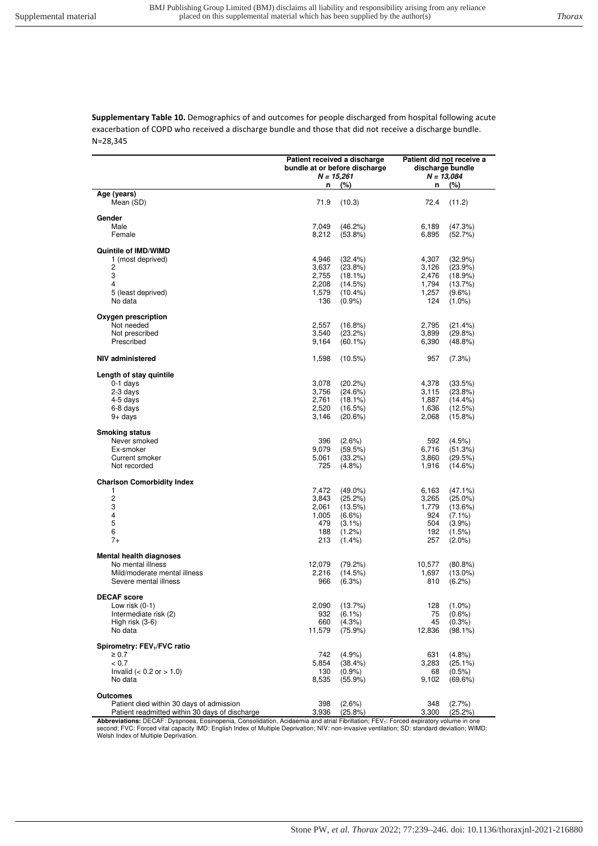**Supplementary Table 10.** Demographics of and outcomes for people discharged from hospital following acute exacerbation of COPD who received a discharge bundle and those that did not receive a discharge bundle. N=28,345

|                                                                                                               | Patient received a discharge<br>$N = 15,261$          | bundle at or before discharge                                                        | Patient did not receive a<br>discharge bundle<br>$N = 13,084$ |                                                                                         |  |
|---------------------------------------------------------------------------------------------------------------|-------------------------------------------------------|--------------------------------------------------------------------------------------|---------------------------------------------------------------|-----------------------------------------------------------------------------------------|--|
|                                                                                                               | n                                                     | (%)                                                                                  | n                                                             | (%)                                                                                     |  |
| Age (years)<br>Mean (SD)                                                                                      | 71.9                                                  | (10.3)                                                                               | 72.4                                                          | (11.2)                                                                                  |  |
| Gender<br>Male<br>Female                                                                                      | 7,049<br>8,212                                        | (46.2%)<br>$(53.8\%)$                                                                | 6,189<br>6,895                                                | (47.3%)<br>(52.7%)                                                                      |  |
| Quintile of IMD/WIMD<br>1 (most deprived)<br>2<br>3<br>4<br>5 (least deprived)<br>No data                     | 4,946<br>3,637<br>2,755<br>2,208<br>1,579<br>136      | (32.4%)<br>$(23.8\%)$<br>$(18.1\%)$<br>(14.5%)<br>$(10.4\%)$<br>$(0.9\%)$            | 4,307<br>3,126<br>2,476<br>1,794<br>1,257<br>124              | (32.9%)<br>(23.9%)<br>(18.9%)<br>(13.7%)<br>$(9.6\%)$<br>$(1.0\%)$                      |  |
| Oxygen prescription<br>Not needed<br>Not prescribed<br>Prescribed                                             | 2,557<br>3,540<br>9,164                               | $(16.8\%)$<br>(23.2%)<br>$(60.1\%)$                                                  | 2,795<br>3,899<br>6,390                                       | (21.4%)<br>(29.8%)<br>$(48.8\%)$                                                        |  |
| NIV administered                                                                                              | 1,598                                                 | (10.5%)                                                                              | 957                                                           | (7.3%)                                                                                  |  |
| Length of stay quintile<br>$0-1$ days<br>2-3 days<br>4-5 days<br>6-8 days<br>$9+$ days                        | 3,078<br>3,756<br>2,761<br>2,520<br>3,146             | (20.2%)<br>(24.6%)<br>$(18.1\%)$<br>(16.5%)<br>(20.6%)                               | 4,378<br>3,115<br>1,887<br>1,636<br>2,068                     | (33.5%)<br>(23.8%)<br>$(14.4\%)$<br>(12.5%)<br>(15.8%)                                  |  |
| <b>Smoking status</b><br>Never smoked<br>Ex-smoker<br>Current smoker<br>Not recorded                          | 396<br>9,079<br>5,061<br>725                          | $(2.6\%)$<br>(59.5%)<br>(33.2%)<br>$(4.8\%)$                                         | 592<br>6,716<br>3,860<br>1,916                                | (4.5%)<br>(51.3%)<br>(29.5%)<br>(14.6%)                                                 |  |
| <b>Charlson Comorbidity Index</b>                                                                             |                                                       |                                                                                      |                                                               |                                                                                         |  |
| 1<br>2<br>3<br>4<br>5<br>6<br>$7+$                                                                            | 7,472<br>3,843<br>2,061<br>1,005<br>479<br>188<br>213 | $(49.0\%)$<br>(25.2%)<br>(13.5%)<br>$(6.6\%)$<br>$(3.1\%)$<br>$(1.2\%)$<br>$(1.4\%)$ | 6,163<br>3,265<br>1,779<br>924<br>504<br>192<br>257           | $(47.1\%)$<br>$(25.0\%)$<br>(13.6%)<br>$(7.1\%)$<br>$(3.9\%)$<br>$(1.5\%)$<br>$(2.0\%)$ |  |
| <b>Mental health diagnoses</b><br>No mental illness<br>Mild/moderate mental illness<br>Severe mental illness  | 12,079<br>2,216<br>966                                | (79.2%)<br>(14.5%)<br>(6.3%)                                                         | 10,577<br>1,697<br>810                                        | $(80.8\%)$<br>$(13.0\%)$<br>(6.2%)                                                      |  |
| <b>DECAF</b> score<br>Low risk $(0-1)$<br>Intermediate risk (2)<br>High risk (3-6)<br>No data                 | 2,090<br>932<br>660<br>11,579                         | (13.7%)<br>$(6.1\%)$<br>$(4.3\%)$<br>(75.9%)                                         | 128<br>75<br>45<br>12,836                                     | $(1.0\%)$<br>$(0.6\%)$<br>$(0.3\%)$<br>$(98.1\%)$                                       |  |
| Spirometry: FEV <sub>1</sub> /FVC ratio<br>$\geq 0.7$<br>< 0.7<br>Invalid $(< 0.2$ or $> 1.0$ )<br>No data    | 742<br>5,854<br>130<br>8,535                          | (4.9%<br>(38.4%)<br>$(0.9\%)$<br>$(55.9\%)$                                          | 631<br>3,283<br>68<br>9,102                                   | $(4.8\%)$<br>(25.1%)<br>$(0.5\%)$<br>(69.6%)                                            |  |
| <b>Outcomes</b><br>Patient died within 30 days of admission<br>Patient readmitted within 30 days of discharge | 398<br>3,936                                          | (2.6%)<br>(25.8%)                                                                    | 348<br>3,300                                                  | (2.7%<br>(25.2%)                                                                        |  |

**Abbreviations:** DECAF: Dyspnoea, Eosinopenia, Consolidation, Acidaemia and atrial Fibrillation; FEV1: Forced expiratory volume in one<br>second; FVC: Forced vital capacity IMD: English Index of Multiple Deprivation; NIV: non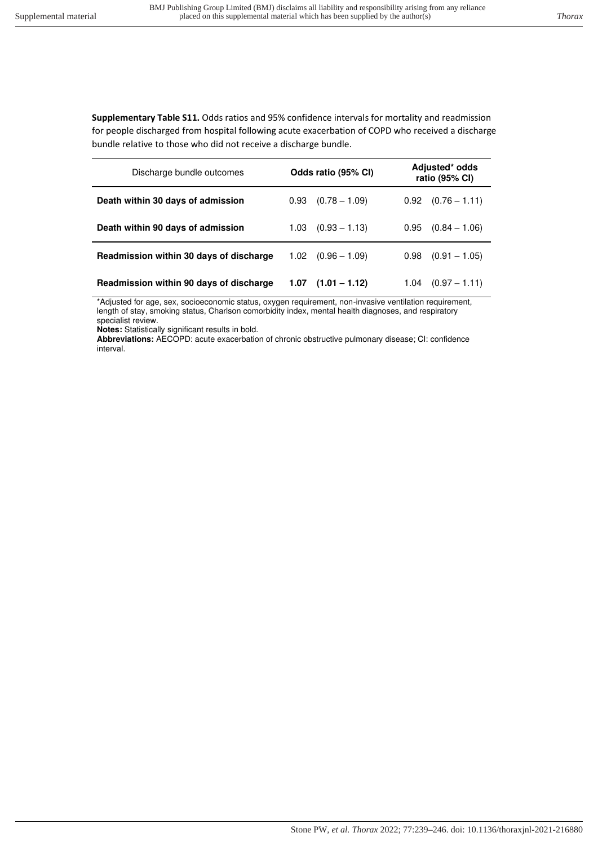**Supplementary Table S11.** Odds ratios and 95% confidence intervals for mortality and readmission for people discharged from hospital following acute exacerbation of COPD who received a discharge bundle relative to those who did not receive a discharge bundle.

| Discharge bundle outcomes               | Odds ratio (95% CI)     | Adjusted* odds<br>ratio (95% CI) |  |  |
|-----------------------------------------|-------------------------|----------------------------------|--|--|
| Death within 30 days of admission       | $(0.78 - 1.09)$<br>0.93 | $0.92$ $(0.76 - 1.11)$           |  |  |
| Death within 90 days of admission       | $(0.93 - 1.13)$<br>1.03 | $(0.84 - 1.06)$<br>0.95          |  |  |
| Readmission within 30 days of discharge | $1.02$ $(0.96 - 1.09)$  | $(0.91 - 1.05)$<br>0.98          |  |  |
| Readmission within 90 days of discharge | $(1.01 - 1.12)$<br>1.07 | $(0.97 - 1.11)$<br>1.04          |  |  |

\*Adjusted for age, sex, socioeconomic status, oxygen requirement, non-invasive ventilation requirement, length of stay, smoking status, Charlson comorbidity index, mental health diagnoses, and respiratory specialist review.

**Notes:** Statistically significant results in bold.

**Abbreviations:** AECOPD: acute exacerbation of chronic obstructive pulmonary disease; CI: confidence interval.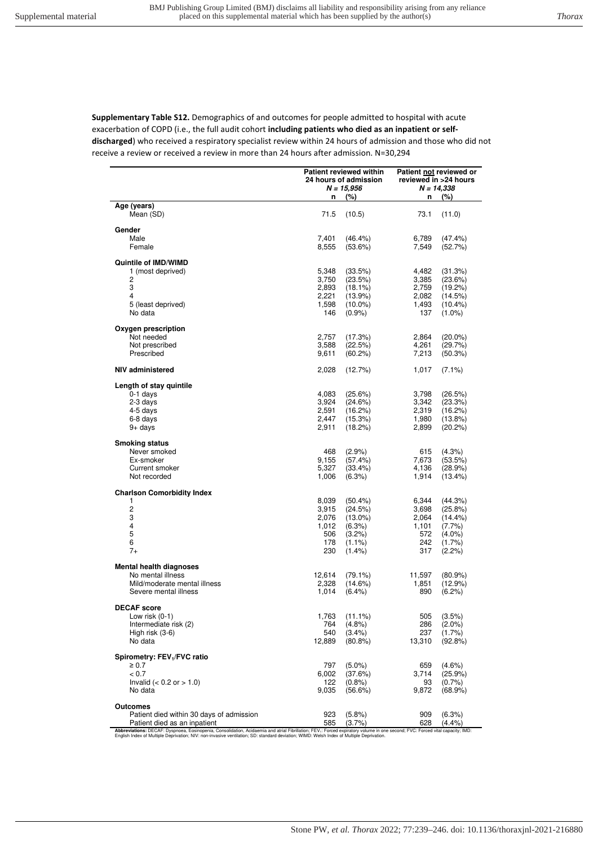**Supplementary Table S12.** Demographics of and outcomes for people admitted to hospital with acute exacerbation of COPD (i.e., the full audit cohort **including patients who died as an inpatient or selfdischarged**) who received a respiratory specialist review within 24 hours of admission and those who did not receive a review or received a review in more than 24 hours after admission. N=30,294

|                                           | <b>Patient reviewed within</b><br>24 hours of admission<br>$N = 15,956$ |                       | Patient not reviewed or<br>reviewed in >24 hours<br>$N = 14,338$ |                         |  |
|-------------------------------------------|-------------------------------------------------------------------------|-----------------------|------------------------------------------------------------------|-------------------------|--|
|                                           | n                                                                       | $(\%)$                | n                                                                | (%)                     |  |
| Age (years)                               |                                                                         |                       |                                                                  |                         |  |
| Mean (SD)                                 | 71.5                                                                    | (10.5)                | 73.1                                                             | (11.0)                  |  |
| Gender                                    |                                                                         |                       |                                                                  |                         |  |
| Male                                      | 7,401                                                                   | $(46.4\%)$            | 6,789                                                            | (47.4%)                 |  |
| Female                                    | 8,555                                                                   | (53.6%)               | 7,549                                                            | (52.7%)                 |  |
|                                           |                                                                         |                       |                                                                  |                         |  |
| Quintile of IMD/WIMD<br>1 (most deprived) | 5,348                                                                   | (33.5%)               | 4,482                                                            | (31.3%)                 |  |
| 2                                         | 3,750                                                                   | (23.5%)               | 3,385                                                            | (23.6%)                 |  |
| 3                                         | 2,893                                                                   | (18.1%)               | 2,759                                                            | (19.2%)                 |  |
| 4                                         | 2,221                                                                   | $(13.9\%)$            | 2,082                                                            | (14.5%)                 |  |
| 5 (least deprived)<br>No data             | 1,598<br>146                                                            | $(10.0\%)$<br>(0.9%   | 1,493<br>137                                                     | $(10.4\%)$<br>$(1.0\%)$ |  |
|                                           |                                                                         |                       |                                                                  |                         |  |
| Oxygen prescription                       |                                                                         |                       |                                                                  |                         |  |
| Not needed                                | 2,757                                                                   | (17.3%)               | 2,864                                                            | $(20.0\%)$              |  |
| Not prescribed<br>Prescribed              | 3,588<br>9,611                                                          | (22.5%)<br>$(60.2\%)$ | 4,261<br>7,213                                                   | (29.7%)<br>(50.3%)      |  |
|                                           |                                                                         |                       |                                                                  |                         |  |
| <b>NIV administered</b>                   | 2,028                                                                   | (12.7%)               | 1,017                                                            | $(7.1\%)$               |  |
|                                           |                                                                         |                       |                                                                  |                         |  |
| Length of stay quintile<br>$0-1$ days     | 4,083                                                                   | (25.6%)               | 3,798                                                            | (26.5%)                 |  |
| 2-3 days                                  | 3,924                                                                   | (24.6%)               | 3,342                                                            | (23.3%)                 |  |
| 4-5 days                                  | 2,591                                                                   | (16.2%)               | 2,319                                                            | (16.2%)                 |  |
| 6-8 days                                  | 2,447                                                                   | (15.3%)               | 1,980                                                            | (13.8%)                 |  |
| $9+$ days                                 | 2,911                                                                   | (18.2%)               | 2,899                                                            | (20.2%)                 |  |
| <b>Smoking status</b>                     |                                                                         |                       |                                                                  |                         |  |
| Never smoked                              | 468                                                                     | $(2.9\%)$             | 615                                                              | (4.3%)                  |  |
| Ex-smoker                                 | 9,155                                                                   | (57.4%)               | 7,673                                                            | (53.5%)                 |  |
| Current smoker<br>Not recorded            | 5,327                                                                   | (33.4%)               | 4,136                                                            | (28.9%)                 |  |
|                                           | 1,006                                                                   | (6.3%)                | 1,914                                                            | (13.4%)                 |  |
| <b>Charlson Comorbidity Index</b>         |                                                                         |                       |                                                                  |                         |  |
| 1                                         | 8,039                                                                   | $(50.4\%)$            | 6,344                                                            | (44.3%)                 |  |
| $\overline{c}$<br>3                       | 3,915<br>2,076                                                          | (24.5%)<br>$(13.0\%)$ | 3,698<br>2,064                                                   | (25.8%)<br>$(14.4\%)$   |  |
| 4                                         | 1,012                                                                   | (6.3%)                | 1,101                                                            | $(7.7\%)$               |  |
| 5                                         | 506                                                                     | (3.2%)                | 572                                                              | $(4.0\%)$               |  |
| 6                                         | 178                                                                     | $(1.1\%)$             | 242                                                              | (1.7%)                  |  |
| $7+$                                      | 230                                                                     | $(1.4\%)$             | 317                                                              | (2.2%)                  |  |
| Mental health diagnoses                   |                                                                         |                       |                                                                  |                         |  |
| No mental illness                         | 12,614                                                                  | $(79.1\%)$            | 11,597                                                           | $(80.9\%)$              |  |
| Mild/moderate mental illness              | 2,328                                                                   | (14.6%)               | 1,851                                                            | (12.9%)                 |  |
| Severe mental illness                     | 1,014                                                                   | $(6.4\%)$             | 890                                                              | $(6.2\%)$               |  |
| <b>DECAF</b> score                        |                                                                         |                       |                                                                  |                         |  |
| Low risk $(0-1)$                          | 1,763                                                                   | $(11.1\%)$            | 505                                                              | $(3.5\%)$               |  |
| Intermediate risk (2)                     | 764                                                                     | $(4.8\%)$             | 286                                                              | $(2.0\%)$               |  |
| High risk $(3-6)$                         | 540                                                                     | (3.4%)                | 237                                                              | (1.7%)                  |  |
| No data                                   | 12,889                                                                  | $(80.8\%)$            | 13,310                                                           | $(92.8\%)$              |  |
| Spirometry: FEV <sub>1</sub> /FVC ratio   |                                                                         |                       |                                                                  |                         |  |
| $\geq 0.7$                                | 797                                                                     | $(5.0\%)$             | 659                                                              | $(4.6\%)$               |  |
| < 0.7                                     | 6,002                                                                   | (37.6%)               | 3,714                                                            | (25.9%)                 |  |
| Invalid ( $< 0.2$ or $> 1.0$ )<br>No data | 122<br>9,035                                                            | (0.8%<br>(56.6%)      | 93<br>9,872                                                      | (0.7%<br>(68.9%)        |  |
|                                           |                                                                         |                       |                                                                  |                         |  |
| <b>Outcomes</b>                           |                                                                         |                       |                                                                  |                         |  |
| Patient died within 30 days of admission  | 923                                                                     | (5.8%)                | 909                                                              | (6.3%)                  |  |
| Patient died as an inpatient              | 585                                                                     | (3.7%                 | 628                                                              | (4.4%                   |  |

Abbreviations: DECAF: Dyspnoa, Eosinopenia, Consolidation, Acidaemia and atrial Fibrilation; FEV⊹; Forced expiratory volume in one second; FVC: Forced vital capacity; IMD:<br>English Index of Multiple Deprivation; NIV: non-in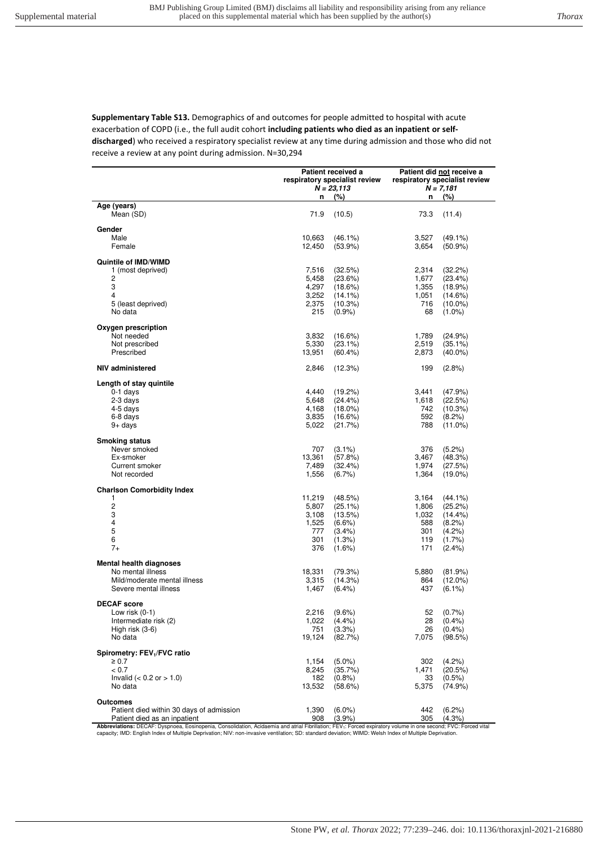**Supplementary Table S13.** Demographics of and outcomes for people admitted to hospital with acute exacerbation of COPD (i.e., the full audit cohort **including patients who died as an inpatient or selfdischarged**) who received a respiratory specialist review at any time during admission and those who did not receive a review at any point during admission. N=30,294

|                                                                                                                                                                                                                                                                                                                                        | Patient received a<br>respiratory specialist review<br>$N = 23,113$ |                      | Patient did not receive a<br>respiratory specialist review<br>$N = 7,181$ |                         |
|----------------------------------------------------------------------------------------------------------------------------------------------------------------------------------------------------------------------------------------------------------------------------------------------------------------------------------------|---------------------------------------------------------------------|----------------------|---------------------------------------------------------------------------|-------------------------|
| Age (years)                                                                                                                                                                                                                                                                                                                            | n                                                                   | (%)                  | n                                                                         | (%)                     |
| Mean (SD)                                                                                                                                                                                                                                                                                                                              | 71.9                                                                | (10.5)               | 73.3                                                                      | (11.4)                  |
| Gender                                                                                                                                                                                                                                                                                                                                 |                                                                     |                      |                                                                           |                         |
| Male                                                                                                                                                                                                                                                                                                                                   | 10,663                                                              | $(46.1\%)$           | 3,527                                                                     | $(49.1\%)$              |
| Female                                                                                                                                                                                                                                                                                                                                 | 12,450                                                              | $(53.9\%)$           | 3,654                                                                     | $(50.9\%)$              |
| Quintile of IMD/WIMD                                                                                                                                                                                                                                                                                                                   |                                                                     |                      |                                                                           |                         |
| 1 (most deprived)                                                                                                                                                                                                                                                                                                                      | 7,516                                                               | (32.5%)              | 2,314                                                                     | (32.2%)                 |
| 2                                                                                                                                                                                                                                                                                                                                      | 5,458                                                               | (23.6%)              | 1,677                                                                     | (23.4%)                 |
| 3<br>4                                                                                                                                                                                                                                                                                                                                 | 4,297                                                               | (18.6%)              | 1,355                                                                     | (18.9%)                 |
| 5 (least deprived)                                                                                                                                                                                                                                                                                                                     | 3,252                                                               | $(14.1\%)$           | 1,051<br>716                                                              | (14.6%)                 |
| No data                                                                                                                                                                                                                                                                                                                                | 2,375<br>215                                                        | (10.3%)<br>$(0.9\%)$ | 68                                                                        | $(10.0\%)$<br>$(1.0\%)$ |
| Oxygen prescription                                                                                                                                                                                                                                                                                                                    |                                                                     |                      |                                                                           |                         |
| Not needed                                                                                                                                                                                                                                                                                                                             | 3,832                                                               | (16.6%)              | 1,789                                                                     | (24.9%)                 |
| Not prescribed                                                                                                                                                                                                                                                                                                                         | 5,330                                                               | $(23.1\%)$           | 2,519                                                                     | $(35.1\%)$              |
| Prescribed                                                                                                                                                                                                                                                                                                                             | 13,951                                                              | $(60.4\%)$           | 2,873                                                                     | $(40.0\%)$              |
| NIV administered                                                                                                                                                                                                                                                                                                                       | 2,846                                                               | (12.3%)              | 199                                                                       | $(2.8\%)$               |
| Length of stay quintile                                                                                                                                                                                                                                                                                                                |                                                                     |                      |                                                                           |                         |
| $0-1$ days                                                                                                                                                                                                                                                                                                                             | 4,440                                                               | (19.2%)              | 3,441                                                                     | (47.9%)                 |
| 2-3 days                                                                                                                                                                                                                                                                                                                               | 5,648                                                               | $(24.4\%)$           | 1,618                                                                     | (22.5%)                 |
| 4-5 days                                                                                                                                                                                                                                                                                                                               | 4,168                                                               | $(18.0\%)$           | 742                                                                       | (10.3%)                 |
| 6-8 days                                                                                                                                                                                                                                                                                                                               | 3,835                                                               | (16.6%)              | 592                                                                       | (8.2%)                  |
| $9+$ days                                                                                                                                                                                                                                                                                                                              | 5,022                                                               | (21.7%)              | 788                                                                       | $(11.0\%)$              |
| <b>Smoking status</b>                                                                                                                                                                                                                                                                                                                  |                                                                     |                      |                                                                           |                         |
| Never smoked                                                                                                                                                                                                                                                                                                                           | 707                                                                 | $(3.1\%)$            | 376                                                                       | (5.2%)                  |
| Ex-smoker                                                                                                                                                                                                                                                                                                                              | 13,361                                                              | (57.8%)              | 3,467                                                                     | (48.3%)                 |
| Current smoker                                                                                                                                                                                                                                                                                                                         | 7,489                                                               | (32.4%)              | 1,974                                                                     | (27.5%)                 |
| Not recorded                                                                                                                                                                                                                                                                                                                           | 1,556                                                               | $(6.7\%)$            | 1,364                                                                     | $(19.0\%)$              |
| <b>Charlson Comorbidity Index</b>                                                                                                                                                                                                                                                                                                      |                                                                     |                      |                                                                           |                         |
| 1                                                                                                                                                                                                                                                                                                                                      | 11,219                                                              | (48.5%)              | 3,164                                                                     | $(44.1\%)$              |
| $\overline{\mathbf{c}}$                                                                                                                                                                                                                                                                                                                | 5,807                                                               | (25.1%)              | 1,806                                                                     | (25.2%)                 |
| 3<br>4                                                                                                                                                                                                                                                                                                                                 | 3,108<br>1,525                                                      | (13.5%)<br>$(6.6\%)$ | 1,032<br>588                                                              | $(14.4\%)$<br>(8.2%)    |
| $\mathbf 5$                                                                                                                                                                                                                                                                                                                            | 777                                                                 | $(3.4\%)$            | 301                                                                       | (4.2%)                  |
| 6                                                                                                                                                                                                                                                                                                                                      | 301                                                                 | (1.3%)               | 119                                                                       | $(1.7\%)$               |
| $7+$                                                                                                                                                                                                                                                                                                                                   | 376                                                                 | $(1.6\%)$            | 171                                                                       | $(2.4\%)$               |
| Mental health diagnoses                                                                                                                                                                                                                                                                                                                |                                                                     |                      |                                                                           |                         |
| No mental illness                                                                                                                                                                                                                                                                                                                      | 18,331                                                              | (79.3%)              | 5,880                                                                     | (81.9%)                 |
| Mild/moderate mental illness                                                                                                                                                                                                                                                                                                           | 3,315                                                               | (14.3%)              | 864                                                                       | $(12.0\%)$              |
| Severe mental illness                                                                                                                                                                                                                                                                                                                  | 1,467                                                               | $(6.4\%)$            | 437                                                                       | $(6.1\%)$               |
| <b>DECAF</b> score                                                                                                                                                                                                                                                                                                                     |                                                                     |                      |                                                                           |                         |
| Low risk $(0-1)$                                                                                                                                                                                                                                                                                                                       | 2,216                                                               | $(9.6\%)$            | 52                                                                        | (0.7%                   |
| Intermediate risk (2)                                                                                                                                                                                                                                                                                                                  | 1,022                                                               | $(4.4\%)$            | 28                                                                        | $(0.4\%)$               |
| High risk (3-6)                                                                                                                                                                                                                                                                                                                        | 751                                                                 | (3.3%)               | 26                                                                        | (0.4%                   |
| No data                                                                                                                                                                                                                                                                                                                                | 19,124                                                              | (82.7%)              | 7,075                                                                     | (98.5%)                 |
| Spirometry: FEV <sub>1</sub> /FVC ratio                                                                                                                                                                                                                                                                                                |                                                                     |                      |                                                                           |                         |
| $\geq 0.7$                                                                                                                                                                                                                                                                                                                             | 1,154                                                               | $(5.0\%)$            | 302                                                                       | (4.2%)                  |
| < 0.7<br>Invalid ( $< 0.2$ or $> 1.0$ )                                                                                                                                                                                                                                                                                                | 8,245<br>182                                                        | (35.7%)<br>(0.8%     | 1,471                                                                     | (20.5%)<br>$(0.5\%)$    |
| No data                                                                                                                                                                                                                                                                                                                                | 13,532                                                              | (58.6%)              | 33<br>5,375                                                               | (74.9%)                 |
| Outcomes                                                                                                                                                                                                                                                                                                                               |                                                                     |                      |                                                                           |                         |
| Patient died within 30 days of admission                                                                                                                                                                                                                                                                                               | 1,390                                                               | $(6.0\%)$            | 442                                                                       | $(6.2\%)$               |
| Patient died as an inpatient                                                                                                                                                                                                                                                                                                           | 908                                                                 | (3.9%                | 305                                                                       | (4.3%                   |
| Abbreviations: DECAF: Dyspnoea, Eosinopenia, Consolidation, Acidaemia and atrial Fibrillation; FEV <sub>1</sub> : Forced expiratory volume in one second; FVC: Forced vital<br>capacity; IMD: English Index of Multiple Deprivation; NIV: non-invasive ventilation; SD: standard deviation; WIMD: Welsh Index of Multiple Deprivation. |                                                                     |                      |                                                                           |                         |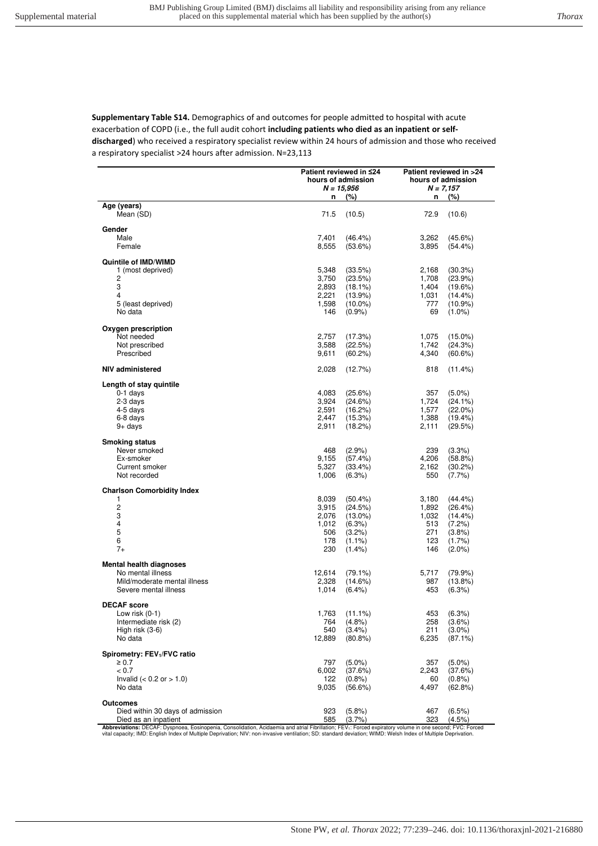**Supplementary Table S14.** Demographics of and outcomes for people admitted to hospital with acute exacerbation of COPD (i.e., the full audit cohort **including patients who died as an inpatient or selfdischarged**) who received a respiratory specialist review within 24 hours of admission and those who received a respiratory specialist >24 hours after admission. N=23,113

|                                                                                                                                                        | Patient reviewed in ≤24<br>hours of admission<br>N = 15,956 |                          | Patient reviewed in >24<br>hours of admission<br>$N = 7,157$ |                         |
|--------------------------------------------------------------------------------------------------------------------------------------------------------|-------------------------------------------------------------|--------------------------|--------------------------------------------------------------|-------------------------|
|                                                                                                                                                        | (%)<br>n                                                    |                          | n (%)                                                        |                         |
| Age (years)<br>Mean (SD)                                                                                                                               | 71.5                                                        | (10.5)                   | 72.9                                                         | (10.6)                  |
| Gender                                                                                                                                                 |                                                             |                          |                                                              |                         |
| Male                                                                                                                                                   | 7,401                                                       | $(46.4\%)$               | 3,262                                                        | (45.6%)                 |
| Female                                                                                                                                                 | 8,555                                                       | (53.6%)                  | 3,895                                                        | (54.4%)                 |
| <b>Quintile of IMD/WIMD</b>                                                                                                                            |                                                             |                          |                                                              |                         |
| 1 (most deprived)                                                                                                                                      | 5,348                                                       | (33.5%)                  | 2,168                                                        | (30.3%)                 |
| 2                                                                                                                                                      | 3,750                                                       | (23.5%)                  | 1,708                                                        | (23.9%)                 |
| 3<br>4                                                                                                                                                 | 2,893<br>2,221                                              | $(18.1\%)$<br>$(13.9\%)$ | 1,404                                                        | (19.6%)<br>(14.4%       |
| 5 (least deprived)                                                                                                                                     | 1,598                                                       | $(10.0\%)$               | 1,031<br>777                                                 | $(10.9\%)$              |
| No data                                                                                                                                                | 146                                                         | $(0.9\%)$                | 69                                                           | $(1.0\%)$               |
|                                                                                                                                                        |                                                             |                          |                                                              |                         |
| Oxygen prescription<br>Not needed                                                                                                                      | 2,757                                                       | (17.3%)                  | 1,075                                                        | $(15.0\%)$              |
| Not prescribed                                                                                                                                         | 3,588                                                       | (22.5%)                  | 1,742                                                        | (24.3%)                 |
| Prescribed                                                                                                                                             | 9,611                                                       | (60.2%)                  | 4,340                                                        | (60.6%)                 |
| NIV administered                                                                                                                                       | 2,028                                                       | (12.7%)                  | 818                                                          | (11.4%)                 |
| Length of stay quintile                                                                                                                                |                                                             |                          |                                                              |                         |
| 0-1 days                                                                                                                                               | 4,083                                                       | (25.6%)                  | 357                                                          | $(5.0\%)$               |
| 2-3 days                                                                                                                                               | 3,924                                                       | (24.6%)                  | 1,724                                                        | $(24.1\%)$              |
| 4-5 days                                                                                                                                               | 2,591                                                       | (16.2%)                  | 1,577                                                        | $(22.0\%)$              |
| 6-8 days                                                                                                                                               | 2,447                                                       | (15.3%)                  | 1,388                                                        | (19.4%)                 |
| 9+ days                                                                                                                                                | 2,911                                                       | (18.2%)                  | 2,111                                                        | (29.5%)                 |
| <b>Smoking status</b>                                                                                                                                  |                                                             |                          |                                                              |                         |
| Never smoked                                                                                                                                           | 468                                                         | (2.9%                    | 239                                                          | (3.3%)                  |
| Ex-smoker<br>Current smoker                                                                                                                            | 9,155<br>5,327                                              | (57.4%)                  | 4,206                                                        | (58.8%)                 |
| Not recorded                                                                                                                                           | 1,006                                                       | (33.4%)<br>(6.3%)        | 2,162<br>550                                                 | $(30.2\%)$<br>$(7.7\%)$ |
|                                                                                                                                                        |                                                             |                          |                                                              |                         |
| <b>Charlson Comorbidity Index</b>                                                                                                                      |                                                             |                          |                                                              |                         |
| 1<br>2                                                                                                                                                 | 8,039<br>3,915                                              | $(50.4\%)$<br>(24.5%)    | 3,180<br>1,892                                               | $(44.4\%)$<br>(26.4%)   |
| 3                                                                                                                                                      | 2,076                                                       | $(13.0\%)$               | 1,032                                                        | $(14.4\%)$              |
| 4                                                                                                                                                      | 1,012                                                       | (6.3%)                   | 513                                                          | (7.2%)                  |
| 5                                                                                                                                                      | 506                                                         | (3.2%)                   | 271                                                          | (3.8%)                  |
| 6                                                                                                                                                      | 178                                                         | $(1.1\%)$                | 123                                                          | $(1.7\%)$               |
| $7+$                                                                                                                                                   | 230                                                         | $(1.4\%)$                | 146                                                          | $(2.0\%)$               |
| <b>Mental health diagnoses</b>                                                                                                                         |                                                             |                          |                                                              |                         |
| No mental illness                                                                                                                                      | 12,614                                                      | $(79.1\%)$               | 5,717                                                        | (79.9%)                 |
| Mild/moderate mental illness<br>Severe mental illness                                                                                                  | 2,328<br>1,014                                              | $(14.6\%)$<br>$(6.4\%)$  | 987<br>453                                                   | $(13.8\%)$<br>(6.3%)    |
|                                                                                                                                                        |                                                             |                          |                                                              |                         |
| <b>DECAF</b> score                                                                                                                                     |                                                             |                          |                                                              |                         |
| Low risk $(0-1)$<br>Intermediate risk (2)                                                                                                              | 1,763                                                       | $(11.1\%)$               | 453                                                          | (6.3%)<br>$(3.6\%)$     |
| High risk (3-6)                                                                                                                                        | 764<br>540                                                  | $(4.8\%)$<br>$(3.4\%)$   | 258<br>211                                                   | $(3.0\%)$               |
| No data                                                                                                                                                | 12,889                                                      | $(80.8\%)$               | 6,235                                                        | $(87.1\%)$              |
|                                                                                                                                                        |                                                             |                          |                                                              |                         |
| Spirometry: FEV <sub>1</sub> /FVC ratio<br>$\geq 0.7$                                                                                                  | 797                                                         | $(5.0\%)$                | 357                                                          | $(5.0\%)$               |
| < 0.7                                                                                                                                                  | 6,002                                                       | (37.6%)                  | 2,243                                                        | (37.6%)                 |
| Invalid $(< 0.2$ or $> 1.0$ )                                                                                                                          | 122                                                         | $(0.8\%)$                | 60                                                           | (0.8%                   |
| No data                                                                                                                                                | 9,035                                                       | (56.6%)                  | 4,497                                                        | (62.8%)                 |
| <b>Outcomes</b>                                                                                                                                        |                                                             |                          |                                                              |                         |
| Died within 30 days of admission                                                                                                                       | 923                                                         | (5.8%)                   | 467                                                          | (6.5%)                  |
| Died as an inpatient                                                                                                                                   | 585                                                         | (3.7%                    | 323                                                          | $(4.5\%)$               |
| Abbreviations: DECAE: Dyspnoea, Ensinopenia, Consolidation, Acidaemia and atrial Eibrillation: EEV.: Enced expiratory volume in one second: EVC: Enced |                                                             |                          |                                                              |                         |

**Abbreviations:** DECAF: Dyspnoea, Eosinopenia, Consolidation, Acidaemia and atrial Fibrillation; FEV<sub>1</sub>: Forced expiratory volume in one second; FVC: Forced<br>vital capacity; IMD: English Index of Multiple Deprivation; NIV: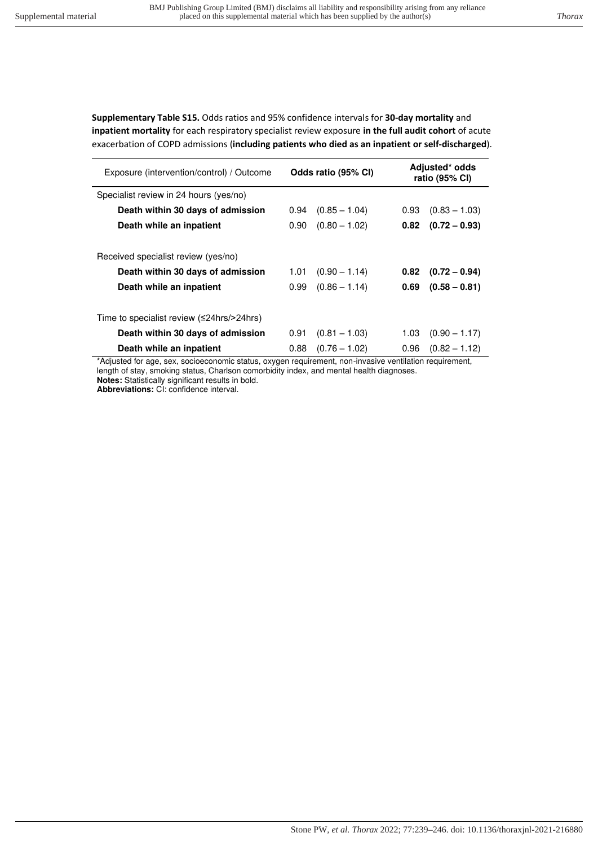**Supplementary Table S15.** Odds ratios and 95% confidence intervals for **30-day mortality** and **inpatient mortality** for each respiratory specialist review exposure **in the full audit cohort** of acute exacerbation of COPD admissions (**including patients who died as an inpatient or self-discharged**).

| Exposure (intervention/control) / Outcome | Odds ratio (95% CI) |                 | Adjusted* odds<br>ratio (95% CI) |                        |
|-------------------------------------------|---------------------|-----------------|----------------------------------|------------------------|
| Specialist review in 24 hours (yes/no)    |                     |                 |                                  |                        |
| Death within 30 days of admission         | 0.94                | $(0.85 - 1.04)$ | 0.93                             | $(0.83 - 1.03)$        |
| Death while an inpatient                  | 0.90                | $(0.80 - 1.02)$ | 0.82                             | $(0.72 - 0.93)$        |
| Received specialist review (yes/no)       |                     |                 |                                  |                        |
| Death within 30 days of admission         | 1.01                | $(0.90 - 1.14)$ | 0.82                             | $(0.72 - 0.94)$        |
| Death while an inpatient                  | 0.99                | $(0.86 - 1.14)$ | 0.69                             | $(0.58 - 0.81)$        |
| Time to specialist review (≤24hrs/>24hrs) |                     |                 |                                  |                        |
| Death within 30 days of admission         | 0.91                | $(0.81 - 1.03)$ | 1.03                             | $(0.90 - 1.17)$        |
| Death while an inpatient                  | 0.88                | $(0.76 - 1.02)$ |                                  | $0.96$ $(0.82 - 1.12)$ |

\*Adjusted for age, sex, socioeconomic status, oxygen requirement, non-invasive ventilation requirement, length of stay, smoking status, Charlson comorbidity index, and mental health diagnoses. **Notes:** Statistically significant results in bold.

**Abbreviations:** CI: confidence interval.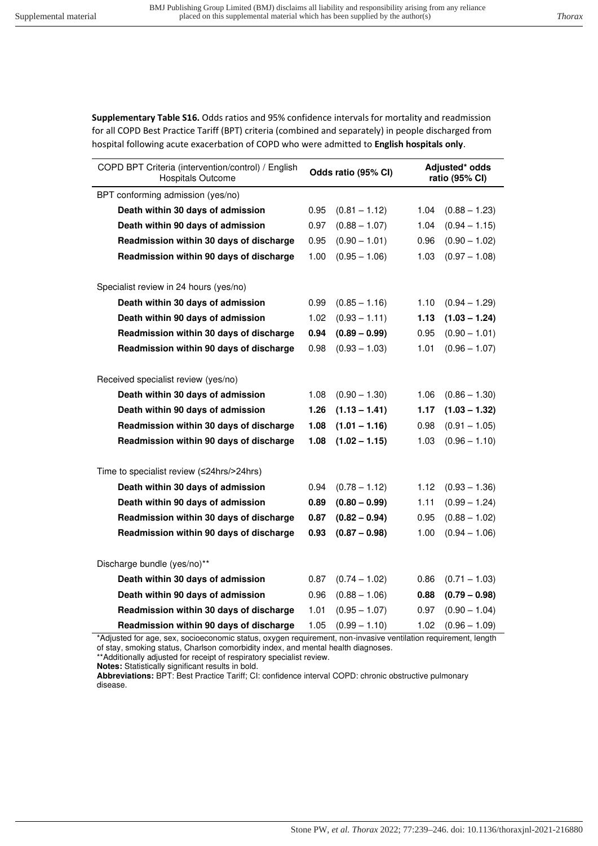**Supplementary Table S16.** Odds ratios and 95% confidence intervals for mortality and readmission for all COPD Best Practice Tariff (BPT) criteria (combined and separately) in people discharged from hospital following acute exacerbation of COPD who were admitted to **English hospitals only**.

| COPD BPT Criteria (intervention/control) / English<br><b>Hospitals Outcome</b> | Odds ratio (95% CI) |                 | Adjusted* odds<br>ratio (95% CI) |                 |
|--------------------------------------------------------------------------------|---------------------|-----------------|----------------------------------|-----------------|
| BPT conforming admission (yes/no)                                              |                     |                 |                                  |                 |
| Death within 30 days of admission                                              | 0.95                | $(0.81 - 1.12)$ | 1.04                             | $(0.88 - 1.23)$ |
| Death within 90 days of admission                                              | 0.97                | $(0.88 - 1.07)$ | 1.04                             | $(0.94 - 1.15)$ |
| Readmission within 30 days of discharge                                        | 0.95                | $(0.90 - 1.01)$ | 0.96                             | $(0.90 - 1.02)$ |
| Readmission within 90 days of discharge                                        | 1.00                | $(0.95 - 1.06)$ | 1.03                             | $(0.97 - 1.08)$ |
| Specialist review in 24 hours (yes/no)                                         |                     |                 |                                  |                 |
| Death within 30 days of admission                                              | 0.99                | $(0.85 - 1.16)$ | 1.10                             | $(0.94 - 1.29)$ |
| Death within 90 days of admission                                              | 1.02                | $(0.93 - 1.11)$ | 1.13                             | $(1.03 - 1.24)$ |
| Readmission within 30 days of discharge                                        | 0.94                | $(0.89 - 0.99)$ | 0.95                             | $(0.90 - 1.01)$ |
| Readmission within 90 days of discharge                                        | 0.98                | $(0.93 - 1.03)$ | 1.01                             | $(0.96 - 1.07)$ |
| Received specialist review (yes/no)                                            |                     |                 |                                  |                 |
| Death within 30 days of admission                                              | 1.08                | $(0.90 - 1.30)$ | 1.06                             | $(0.86 - 1.30)$ |
| Death within 90 days of admission                                              | 1.26                | $(1.13 - 1.41)$ | 1.17                             | $(1.03 - 1.32)$ |
| Readmission within 30 days of discharge                                        | 1.08                | $(1.01 - 1.16)$ | 0.98                             | $(0.91 - 1.05)$ |
| Readmission within 90 days of discharge                                        | 1.08                | $(1.02 - 1.15)$ | 1.03                             | $(0.96 - 1.10)$ |
| Time to specialist review (≤24hrs/>24hrs)                                      |                     |                 |                                  |                 |
| Death within 30 days of admission                                              | 0.94                | $(0.78 - 1.12)$ | 1.12                             | $(0.93 - 1.36)$ |
| Death within 90 days of admission                                              | 0.89                | $(0.80 - 0.99)$ | 1.11                             | $(0.99 - 1.24)$ |
| Readmission within 30 days of discharge                                        | 0.87                | $(0.82 - 0.94)$ | 0.95                             | $(0.88 - 1.02)$ |
| Readmission within 90 days of discharge                                        | 0.93                | $(0.87 - 0.98)$ | 1.00                             | $(0.94 - 1.06)$ |
|                                                                                |                     |                 |                                  |                 |
| Discharge bundle (yes/no)**                                                    |                     |                 |                                  |                 |
| Death within 30 days of admission                                              | 0.87                | $(0.74 - 1.02)$ | 0.86                             | $(0.71 - 1.03)$ |
| Death within 90 days of admission                                              | 0.96                | $(0.88 - 1.06)$ | 0.88                             | $(0.79 - 0.98)$ |
| Readmission within 30 days of discharge                                        | 1.01                | $(0.95 - 1.07)$ | 0.97                             | $(0.90 - 1.04)$ |
| Readmission within 90 days of discharge                                        | 1.05                | $(0.99 - 1.10)$ | 1.02                             | $(0.96 - 1.09)$ |

\*Adjusted for age, sex, socioeconomic status, oxygen requirement, non-invasive ventilation requirement, length of stay, smoking status, Charlson comorbidity index, and mental health diagnoses.

\*\*Additionally adjusted for receipt of respiratory specialist review.

**Notes:** Statistically significant results in bold.

**Abbreviations:** BPT: Best Practice Tariff; CI: confidence interval COPD: chronic obstructive pulmonary disease.